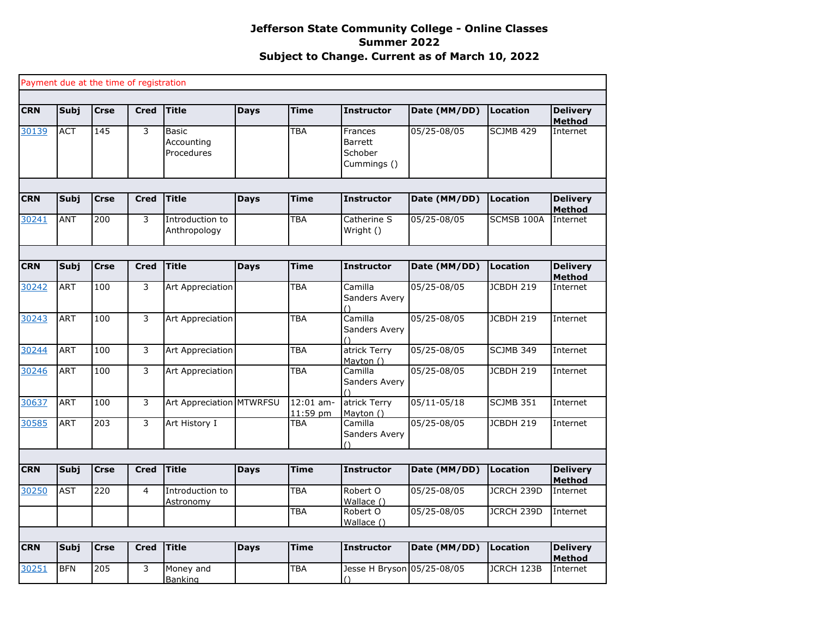|            |             |             | Payment due at the time of registration |                                   |             |                         |                                                     |                 |                   |                                  |
|------------|-------------|-------------|-----------------------------------------|-----------------------------------|-------------|-------------------------|-----------------------------------------------------|-----------------|-------------------|----------------------------------|
|            |             |             |                                         |                                   |             |                         |                                                     |                 |                   |                                  |
| <b>CRN</b> | Subj        | <b>Crse</b> | <b>Cred</b>                             | <b>Title</b>                      | <b>Days</b> | <b>Time</b>             | <b>Instructor</b>                                   | Date (MM/DD)    | Location          | <b>Delivery</b><br><b>Method</b> |
| 30139      | <b>ACT</b>  | 145         | 3                                       | Basic<br>Accounting<br>Procedures |             | <b>TBA</b>              | Frances<br><b>Barrett</b><br>Schober<br>Cummings () | 05/25-08/05     | <b>SCJMB 429</b>  | Internet                         |
|            |             |             |                                         |                                   |             |                         |                                                     |                 |                   |                                  |
| <b>CRN</b> | Subj        | <b>Crse</b> | <b>Cred</b>                             | <b>Title</b>                      | <b>Days</b> | Time                    | <b>Instructor</b>                                   | Date (MM/DD)    | <b>Location</b>   | <b>Delivery</b><br><b>Method</b> |
| 30241      | <b>ANT</b>  | 200         | 3                                       | Introduction to<br>Anthropology   |             | TBA                     | Catherine S<br>Wright ()                            | 05/25-08/05     | SCMSB 100A        | Internet                         |
|            |             |             |                                         |                                   |             |                         |                                                     |                 |                   |                                  |
| <b>CRN</b> | Subj        | <b>Crse</b> | <b>Cred</b>                             | <b>Title</b>                      | <b>Days</b> | Time                    | <b>Instructor</b>                                   | Date (MM/DD)    | <b>Location</b>   | <b>Delivery</b><br><b>Method</b> |
| 30242      | <b>ART</b>  | 100         | 3                                       | Art Appreciation                  |             | TBA                     | Camilla<br>Sanders Avery<br>$\bigcap$               | 05/25-08/05     | JCBDH 219         | Internet                         |
| 30243      | <b>ART</b>  | 100         | 3                                       | <b>Art Appreciation</b>           |             | TBA                     | Camilla<br>Sanders Avery                            | 05/25-08/05     | <b>JCBDH 219</b>  | Internet                         |
| 30244      | <b>ART</b>  | 100         | 3                                       | Art Appreciation                  |             | TBA                     | atrick Terry<br>Mayton ()                           | 05/25-08/05     | SCJMB 349         | Internet                         |
| 30246      | <b>ART</b>  | 100         | 3                                       | Art Appreciation                  |             | TBA                     | Camilla<br>Sanders Avery                            | 05/25-08/05     | JCBDH 219         | Internet                         |
| 30637      | <b>ART</b>  | 100         | 3                                       | Art Appreciation MTWRFSU          |             | $12:01$ am-<br>11:59 pm | atrick Terry<br>Mayton ()                           | $05/11 - 05/18$ | <b>SCJMB 351</b>  | Internet                         |
| 30585      | <b>ART</b>  | 203         | 3                                       | Art History I                     |             | TBA                     | Camilla<br>Sanders Avery<br>7                       | 05/25-08/05     | <b>JCBDH 219</b>  | Internet                         |
|            |             |             |                                         |                                   |             |                         |                                                     |                 |                   |                                  |
| <b>CRN</b> | <b>Subj</b> | <b>Crse</b> | <b>Cred</b>                             | <b>Title</b>                      | <b>Days</b> | <b>Time</b>             | <b>Instructor</b>                                   | Date (MM/DD)    | <b>Location</b>   | <b>Delivery</b><br><b>Method</b> |
| 30250      | <b>AST</b>  | 220         | $\overline{4}$                          | Introduction to<br>Astronomy      |             | TBA                     | Robert O<br>Wallace ()                              | 05/25-08/05     | <b>JCRCH 239D</b> | Internet                         |
|            |             |             |                                         |                                   |             | <b>TBA</b>              | Robert O<br>Wallace ()                              | 05/25-08/05     | JCRCH 239D        | Internet                         |
|            |             |             |                                         |                                   |             |                         |                                                     |                 |                   |                                  |
| <b>CRN</b> | Subj        | <b>Crse</b> | <b>Cred</b>                             | <b>Title</b>                      | <b>Days</b> | Time                    | <b>Instructor</b>                                   | Date (MM/DD)    | <b>Location</b>   | <b>Delivery</b><br><b>Method</b> |
| 30251      | <b>BFN</b>  | 205         | 3                                       | Money and<br><b>Banking</b>       |             | TBA                     | Jesse H Bryson 05/25-08/05                          |                 | JCRCH 123B        | Internet                         |
|            |             |             |                                         |                                   |             |                         |                                                     |                 |                   |                                  |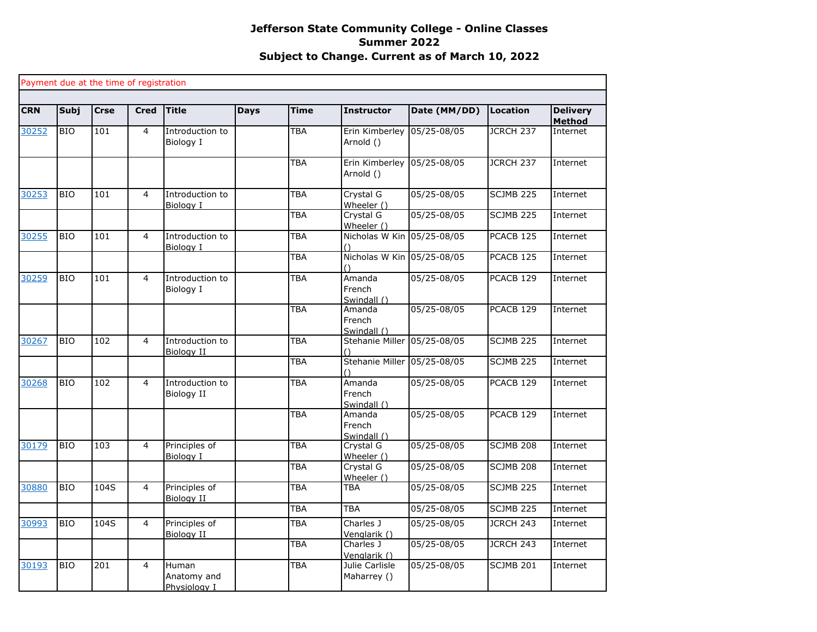|            |             | Payment due at the time of registration |                |                                      |             |             |                                 |              |                      |                                  |
|------------|-------------|-----------------------------------------|----------------|--------------------------------------|-------------|-------------|---------------------------------|--------------|----------------------|----------------------------------|
| <b>CRN</b> | <b>Subj</b> | <b>Crse</b>                             | <b>Cred</b>    | <b>Title</b>                         | <b>Days</b> | <b>Time</b> | <b>Instructor</b>               | Date (MM/DD) | <b>Location</b>      | <b>Delivery</b><br><b>Method</b> |
| 30252      | <b>BIO</b>  | 101                                     | 4              | Introduction to<br>Biology I         |             | <b>TBA</b>  | Erin Kimberley<br>Arnold ()     | 05/25-08/05  | JCRCH 237            | Internet                         |
|            |             |                                         |                |                                      |             | <b>TBA</b>  | Erin Kimberley<br>Arnold ()     | 05/25-08/05  | JCRCH 237            | Internet                         |
| 30253      | <b>BIO</b>  | 101                                     | $\overline{4}$ | Introduction to<br>Biology I         |             | <b>TBA</b>  | Crystal G<br>Wheeler ()         | 05/25-08/05  | <b>SCJMB 225</b>     | Internet                         |
|            |             |                                         |                |                                      |             | <b>TBA</b>  | Crystal G<br>Wheeler ()         | 05/25-08/05  | SCJMB 225            | Internet                         |
| 30255      | <b>BIO</b>  | 101                                     | $\overline{4}$ | Introduction to<br>Biology I         |             | <b>TBA</b>  | Nicholas W Kin 05/25-08/05      |              | PCACB <sub>125</sub> | Internet                         |
|            |             |                                         |                |                                      |             | <b>TBA</b>  | Nicholas W Kin 05/25-08/05      |              | PCACB <sub>125</sub> | Internet                         |
| 30259      | <b>BIO</b>  | 101                                     | $\overline{4}$ | Introduction to<br>Biology I         |             | <b>TBA</b>  | Amanda<br>French<br>Swindall () | 05/25-08/05  | PCACB <sub>129</sub> | Internet                         |
|            |             |                                         |                |                                      |             | <b>TBA</b>  | Amanda<br>French<br>Swindall () | 05/25-08/05  | PCACB 129            | Internet                         |
| 30267      | <b>BIO</b>  | 102                                     | $\overline{4}$ | Introduction to<br><b>Biology II</b> |             | <b>TBA</b>  | Stehanie Miller                 | 05/25-08/05  | <b>SCJMB 225</b>     | Internet                         |
|            |             |                                         |                |                                      |             | <b>TBA</b>  | Stehanie Miller                 | 05/25-08/05  | SCJMB 225            | Internet                         |
| 30268      | <b>BIO</b>  | 102                                     | 4              | Introduction to<br>Biology II        |             | <b>TBA</b>  | Amanda<br>French<br>Swindall () | 05/25-08/05  | PCACB 129            | Internet                         |
|            |             |                                         |                |                                      |             | <b>TBA</b>  | Amanda<br>French<br>Swindall () | 05/25-08/05  | PCACB 129            | Internet                         |
| 30179      | <b>BIO</b>  | 103                                     | $\overline{4}$ | Principles of<br>Biology I           |             | <b>TBA</b>  | Crystal G<br>Wheeler ()         | 05/25-08/05  | SCJMB 208            | Internet                         |
|            |             |                                         |                |                                      |             | <b>TBA</b>  | Crystal G<br>Wheeler ()         | 05/25-08/05  | SCJMB 208            | Internet                         |
| 30880      | <b>BIO</b>  | 104S                                    | 4              | Principles of<br>Biology II          |             | <b>TBA</b>  | <b>TBA</b>                      | 05/25-08/05  | SCJMB 225            | Internet                         |
|            |             |                                         |                |                                      |             | <b>TBA</b>  | <b>TBA</b>                      | 05/25-08/05  | SCJMB <sub>225</sub> | Internet                         |
| 30993      | <b>BIO</b>  | 104S                                    | $\overline{4}$ | Principles of<br>Biology II          |             | <b>TBA</b>  | Charles J<br>Venglarik ()       | 05/25-08/05  | JCRCH 243            | Internet                         |
|            |             |                                         |                |                                      |             | <b>TBA</b>  | Charles J<br>Venglarik ()       | 05/25-08/05  | JCRCH 243            | Internet                         |
| 30193      | <b>BIO</b>  | 201                                     | $\overline{4}$ | Human<br>Anatomy and<br>Physiology I |             | <b>TBA</b>  | Julie Carlisle<br>Maharrey ()   | 05/25-08/05  | SCJMB 201            | Internet                         |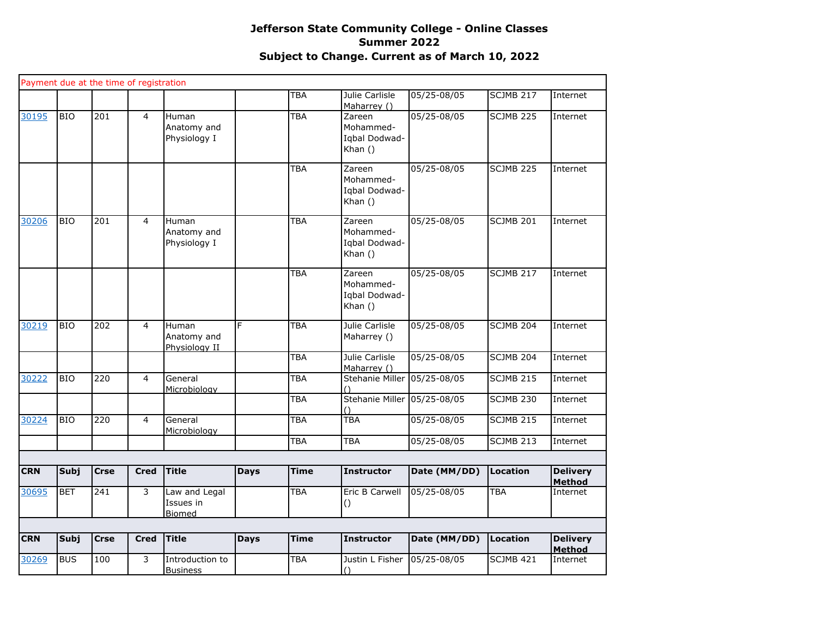|            |            |             | Payment due at the time of registration |                                             |             |             |                                                   |              |                  |                                  |
|------------|------------|-------------|-----------------------------------------|---------------------------------------------|-------------|-------------|---------------------------------------------------|--------------|------------------|----------------------------------|
|            |            |             |                                         |                                             |             | <b>TBA</b>  | Julie Carlisle<br>Maharrey ()                     | 05/25-08/05  | SCJMB 217        | Internet                         |
| 30195      | <b>BIO</b> | 201         | $\overline{4}$                          | <b>Human</b><br>Anatomy and<br>Physiology I |             | TBA         | Zareen<br>Mohammed-<br>Iqbal Dodwad-<br>Khan $()$ | 05/25-08/05  | SCJMB 225        | Internet                         |
|            |            |             |                                         |                                             |             | <b>TBA</b>  | Zareen<br>Mohammed-<br>Iqbal Dodwad-<br>Khan $()$ | 05/25-08/05  | <b>SCJMB 225</b> | Internet                         |
| 30206      | <b>BIO</b> | 201         | $\overline{4}$                          | Human<br>Anatomy and<br>Physiology I        |             | TBA         | Zareen<br>Mohammed-<br>Iqbal Dodwad-<br>Khan $()$ | 05/25-08/05  | SCJMB 201        | Internet                         |
|            |            |             |                                         |                                             |             | <b>TBA</b>  | Zareen<br>Mohammed-<br>Iqbal Dodwad-<br>Khan ()   | 05/25-08/05  | <b>SCJMB 217</b> | Internet                         |
| 30219      | <b>BIO</b> | 202         | $\overline{4}$                          | Human<br>Anatomy and<br>Physiology II       | F           | <b>TBA</b>  | Julie Carlisle<br>Maharrey ()                     | 05/25-08/05  | SCJMB 204        | Internet                         |
|            |            |             |                                         |                                             |             | <b>TBA</b>  | Julie Carlisle<br>Maharrey ()                     | 05/25-08/05  | <b>SCJMB 204</b> | Internet                         |
| 30222      | <b>BIO</b> | 220         | $\overline{4}$                          | General<br>Microbiology                     |             | <b>TBA</b>  | Stehanie Miller 05/25-08/05                       |              | SCJMB 215        | Internet                         |
|            |            |             |                                         |                                             |             | TBA         | <b>Stehanie Miller</b>                            | 05/25-08/05  | <b>SCJMB 230</b> | Internet                         |
| 30224      | <b>BIO</b> | 220         | $\overline{4}$                          | General<br>Microbiology                     |             | <b>TBA</b>  | <b>TBA</b>                                        | 05/25-08/05  | <b>SCJMB 215</b> | Internet                         |
|            |            |             |                                         |                                             |             | <b>TBA</b>  | <b>TBA</b>                                        | 05/25-08/05  | <b>SCJMB 213</b> | Internet                         |
| <b>CRN</b> | Subj       | <b>Crse</b> | <b>Cred</b>                             | <b>Title</b>                                | <b>Days</b> | <b>Time</b> | <b>Instructor</b>                                 | Date (MM/DD) | <b>Location</b>  | <b>Delivery</b><br><b>Method</b> |
| 30695      | <b>BET</b> | 241         | 3                                       | Law and Legal<br>Issues in<br>Biomed        |             | <b>TBA</b>  | Eric B Carwell<br>()                              | 05/25-08/05  | TBA              | Internet                         |
| <b>CRN</b> | Subj       | <b>Crse</b> | <b>Cred</b>                             | <b>Title</b>                                | <b>Days</b> | <b>Time</b> | <b>Instructor</b>                                 | Date (MM/DD) | <b>Location</b>  | <b>Delivery</b>                  |
| 30269      | <b>BUS</b> | 100         | 3                                       | Introduction to<br><b>Business</b>          |             | TBA         | Justin L Fisher<br>$\left( \right)$               | 05/25-08/05  | SCJMB 421        | Method<br>Internet               |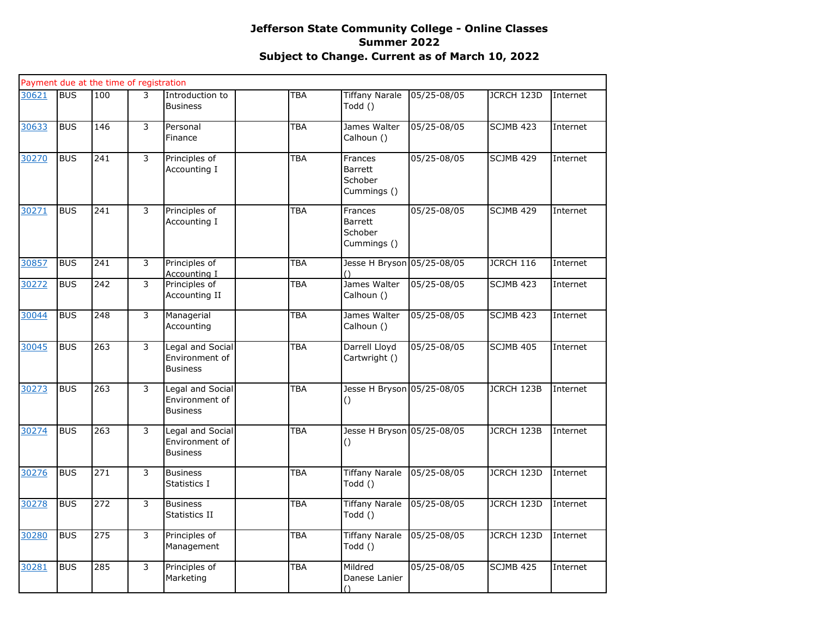|       |            | Payment due at the time of registration |                |                                                              |            |                                                     |                 |                  |          |
|-------|------------|-----------------------------------------|----------------|--------------------------------------------------------------|------------|-----------------------------------------------------|-----------------|------------------|----------|
| 30621 | <b>BUS</b> | 100                                     | 3              | Introduction to<br><b>Business</b>                           | TBA        | <b>Tiffany Narale</b><br>Todd ()                    | 05/25-08/05     | JCRCH 123D       | Internet |
| 30633 | <b>BUS</b> | 146                                     | 3              | Personal<br>Finance                                          | TBA        | James Walter<br>Calhoun ()                          | $05/25 - 08/05$ | SCJMB 423        | Internet |
| 30270 | <b>BUS</b> | 241                                     | $\overline{3}$ | Principles of<br>Accounting I                                | <b>TBA</b> | Frances<br>Barrett<br>Schober<br>Cummings ()        | 05/25-08/05     | <b>SCJMB 429</b> | Internet |
| 30271 | <b>BUS</b> | 241                                     | 3              | Principles of<br>Accounting I                                | TBA        | Frances<br><b>Barrett</b><br>Schober<br>Cummings () | 05/25-08/05     | <b>SCJMB 429</b> | Internet |
| 30857 | <b>BUS</b> | 241                                     | $\overline{3}$ | Principles of<br>Accounting I                                | <b>TBA</b> | Jesse H Bryson 05/25-08/05                          |                 | <b>JCRCH 116</b> | Internet |
| 30272 | <b>BUS</b> | 242                                     | $\overline{3}$ | Principles of<br>Accounting II                               | <b>TBA</b> | James Walter<br>Calhoun ()                          | 05/25-08/05     | <b>SCJMB 423</b> | Internet |
| 30044 | <b>BUS</b> | 248                                     | 3              | Managerial<br>Accounting                                     | <b>TBA</b> | James Walter<br>Calhoun ()                          | 05/25-08/05     | <b>SCJMB 423</b> | Internet |
| 30045 | <b>BUS</b> | 263                                     | $\overline{3}$ | Legal and Social<br>Environment of<br><b>Business</b>        | TBA        | Darrell Lloyd<br>Cartwright ()                      | 05/25-08/05     | <b>SCJMB 405</b> | Internet |
| 30273 | <b>BUS</b> | 263                                     | 3              | <b>Legal and Social</b><br>Environment of<br><b>Business</b> | TBA        | Jesse H Bryson 05/25-08/05<br>$\left( \right)$      |                 | JCRCH 123B       | Internet |
| 30274 | <b>BUS</b> | 263                                     | 3              | <b>Legal and Social</b><br>Environment of<br><b>Business</b> | TBA        | Jesse H Bryson 05/25-08/05<br>$\left( \right)$      |                 | JCRCH 123B       | Internet |
| 30276 | <b>BUS</b> | 271                                     | 3              | <b>Business</b><br>Statistics I                              | <b>TBA</b> | <b>Tiffany Narale</b><br>Todd ()                    | 05/25-08/05     | JCRCH 123D       | Internet |
| 30278 | <b>BUS</b> | 272                                     | 3              | <b>Business</b><br>Statistics II                             | TBA        | <b>Tiffany Narale</b><br>Todd ()                    | 05/25-08/05     | JCRCH 123D       | Internet |
| 30280 | <b>BUS</b> | 275                                     | 3              | Principles of<br>Management                                  | <b>TBA</b> | <b>Tiffany Narale</b><br>Todd ()                    | 05/25-08/05     | JCRCH 123D       | Internet |
| 30281 | <b>BUS</b> | 285                                     | 3              | Principles of<br>Marketing                                   | TBA        | Mildred<br>Danese Lanier<br>$\bigcap$               | 05/25-08/05     | SCJMB 425        | Internet |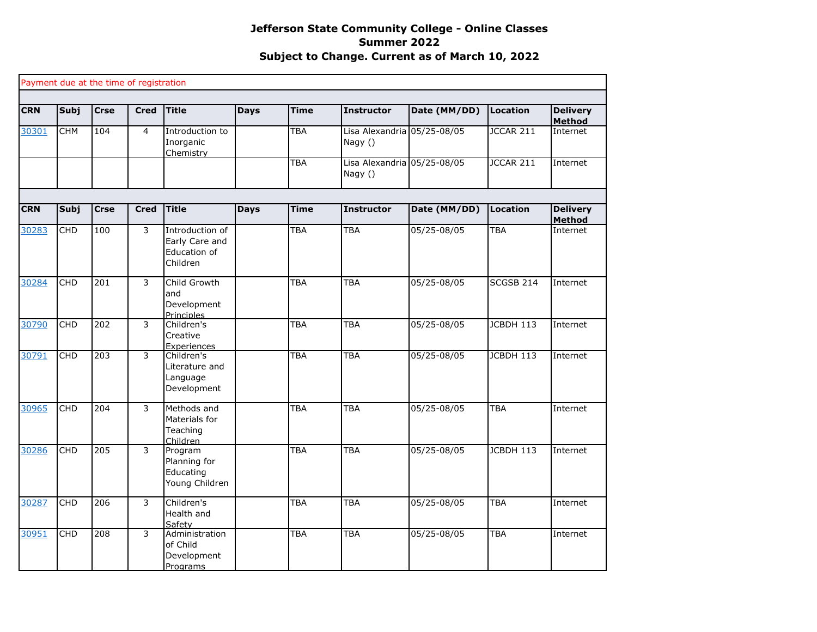|            |             |             | Payment due at the time of registration |                                                               |             |             |                                        |              |                  |                                  |
|------------|-------------|-------------|-----------------------------------------|---------------------------------------------------------------|-------------|-------------|----------------------------------------|--------------|------------------|----------------------------------|
| <b>CRN</b> | <b>Subj</b> | <b>Crse</b> | <b>Cred</b>                             | <b>Title</b>                                                  | <b>Days</b> | <b>Time</b> | <b>Instructor</b>                      | Date (MM/DD) | <b>Location</b>  | <b>Delivery</b><br><b>Method</b> |
| 30301      | <b>CHM</b>  | 104         | $\overline{4}$                          | Introduction to<br>Inorganic<br>Chemistry                     |             | <b>TBA</b>  | Lisa Alexandria 05/25-08/05<br>Nagy () |              | JCCAR 211        | Internet                         |
|            |             |             |                                         |                                                               |             | <b>TBA</b>  | Lisa Alexandria 05/25-08/05<br>Nagy () |              | JCCAR 211        | Internet                         |
|            |             |             |                                         |                                                               |             |             |                                        |              |                  |                                  |
| <b>CRN</b> | <b>Subj</b> | <b>Crse</b> | <b>Cred</b>                             | <b>Title</b>                                                  | <b>Days</b> | <b>Time</b> | <b>Instructor</b>                      | Date (MM/DD) | <b>Location</b>  | <b>Delivery</b><br><b>Method</b> |
| 30283      | <b>CHD</b>  | 100         | $\overline{3}$                          | Introduction of<br>Early Care and<br>Education of<br>Children |             | <b>TBA</b>  | <b>TBA</b>                             | 05/25-08/05  | <b>TBA</b>       | Internet                         |
| 30284      | <b>CHD</b>  | 201         | $\overline{3}$                          | Child Growth<br>and<br>Development<br>Principles              |             | <b>TBA</b>  | <b>TBA</b>                             | 05/25-08/05  | <b>SCGSB 214</b> | Internet                         |
| 30790      | <b>CHD</b>  | 202         | 3                                       | Children's<br>Creative<br>Experiences                         |             | <b>TBA</b>  | <b>TBA</b>                             | 05/25-08/05  | JCBDH 113        | Internet                         |
| 30791      | <b>CHD</b>  | 203         | $\overline{3}$                          | Children's<br>Literature and<br>Language<br>Development       |             | <b>TBA</b>  | <b>TBA</b>                             | 05/25-08/05  | JCBDH 113        | Internet                         |
| 30965      | CHD         | 204         | 3                                       | Methods and<br>Materials for<br>Teaching<br>Children          |             | <b>TBA</b>  | <b>TBA</b>                             | 05/25-08/05  | TBA              | Internet                         |
| 30286      | <b>CHD</b>  | 205         | 3                                       | Program<br>Planning for<br>Educating<br>Young Children        |             | <b>TBA</b>  | <b>TBA</b>                             | 05/25-08/05  | <b>JCBDH 113</b> | Internet                         |
| 30287      | <b>CHD</b>  | 206         | $\overline{3}$                          | Children's<br>Health and<br>Safety                            |             | <b>TBA</b>  | <b>TBA</b>                             | 05/25-08/05  | <b>TBA</b>       | Internet                         |
| 30951      | <b>CHD</b>  | 208         | 3                                       | Administration<br>of Child<br>Development<br>Programs         |             | <b>TBA</b>  | TBA                                    | 05/25-08/05  | <b>TBA</b>       | Internet                         |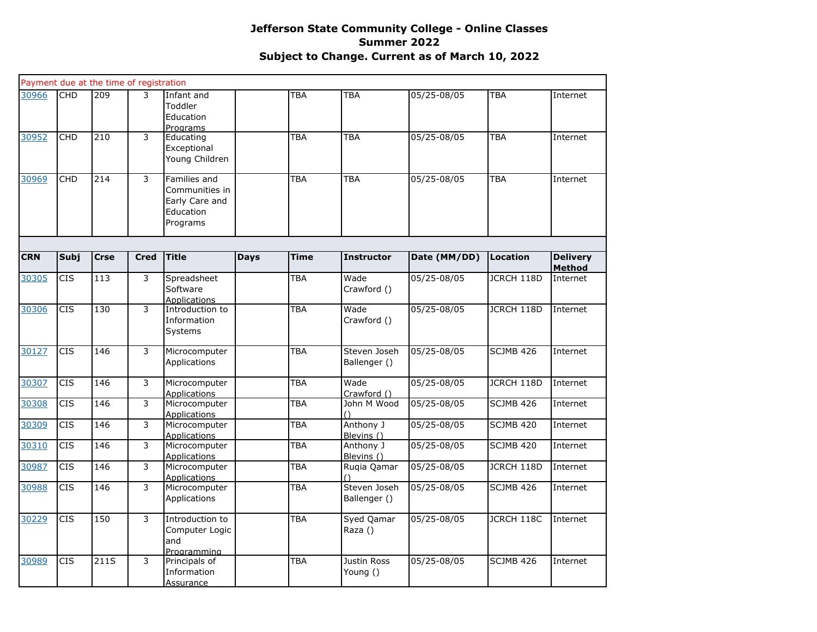|            |                  | Payment due at the time of registration |                |                                                                           |             |             |                              |              |                  |                           |
|------------|------------------|-----------------------------------------|----------------|---------------------------------------------------------------------------|-------------|-------------|------------------------------|--------------|------------------|---------------------------|
| 30966      | <b>CHD</b>       | 209                                     | 3              | Infant and<br>Toddler<br>Education<br>Programs                            |             | TBA         | <b>TBA</b>                   | 05/25-08/05  | <b>TBA</b>       | Internet                  |
| 30952      | <b>CHD</b>       | 210                                     | 3              | Educating<br>Exceptional<br>Young Children                                |             | <b>TBA</b>  | <b>TBA</b>                   | 05/25-08/05  | <b>TBA</b>       | Internet                  |
| 30969      | <b>CHD</b>       | 214                                     | 3              | Families and<br>Communities in<br>Early Care and<br>Education<br>Programs |             | TBA         | <b>TBA</b>                   | 05/25-08/05  | <b>TBA</b>       | Internet                  |
| <b>CRN</b> | <b>Subj</b>      | <b>Crse</b>                             | <b>Cred</b>    | <b>Title</b>                                                              | <b>Days</b> | <b>Time</b> | <b>Instructor</b>            | Date (MM/DD) | <b>Location</b>  | <b>Delivery</b>           |
| 30305      | <b>CIS</b>       | 113                                     | 3              | Spreadsheet<br>Software<br><b>Applications</b>                            |             | TBA         | Wade<br>Crawford ()          | 05/25-08/05  | JCRCH 118D       | <b>Method</b><br>Internet |
| 30306      | $\overline{CIS}$ | 130                                     | 3              | Introduction to<br>Information<br>Systems                                 |             | TBA         | Wade<br>Crawford ()          | 05/25-08/05  | JCRCH 118D       | Internet                  |
| 30127      | $\overline{CIS}$ | 146                                     | $\overline{3}$ | Microcomputer<br>Applications                                             |             | TBA         | Steven Joseh<br>Ballenger () | 05/25-08/05  | <b>SCJMB 426</b> | Internet                  |
| 30307      | <b>CIS</b>       | 146                                     | $\overline{3}$ | Microcomputer<br><b>Applications</b>                                      |             | TBA         | Wade<br>Crawford ()          | 05/25-08/05  | JCRCH 118D       | Internet                  |
| 30308      | <b>CIS</b>       | 146                                     | 3              | Microcomputer<br><b>Applications</b>                                      |             | TBA         | John M Wood                  | 05/25-08/05  | SCJMB 426        | Internet                  |
| 30309      | CIS              | 146                                     | 3              | Microcomputer<br><b>Applications</b>                                      |             | TBA         | Anthony J<br>Blevins ()      | 05/25-08/05  | <b>SCJMB 420</b> | Internet                  |
| 30310      | <b>CIS</b>       | 146                                     | 3              | Microcomputer<br><b>Applications</b>                                      |             | TBA         | Anthony J<br>Blevins ()      | 05/25-08/05  | <b>SCJMB 420</b> | Internet                  |
| 30987      | <b>CIS</b>       | 146                                     | 3              | Microcomputer<br><b>Applications</b>                                      |             | TBA         | Ruqia Qamar                  | 05/25-08/05  | JCRCH 118D       | Internet                  |
| 30988      | <b>CIS</b>       | 146                                     | $\overline{3}$ | Microcomputer<br>Applications                                             |             | TBA         | Steven Joseh<br>Ballenger () | 05/25-08/05  | <b>SCJMB 426</b> | Internet                  |
| 30229      | <b>CIS</b>       | 150                                     | 3              | Introduction to<br>Computer Logic<br>and<br>Programming                   |             | <b>TBA</b>  | Syed Qamar<br>Raza ()        | 05/25-08/05  | JCRCH 118C       | Internet                  |
| 30989      | CIS              | 211S                                    | 3              | Principals of<br>Information<br><u>Assurance</u>                          |             | <b>TBA</b>  | Justin Ross<br>Young ()      | 05/25-08/05  | SCJMB 426        | Internet                  |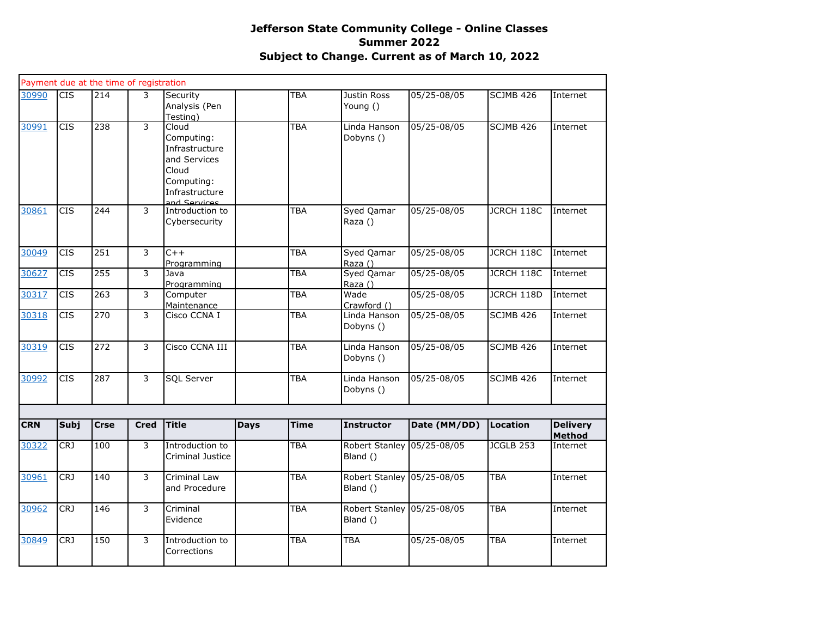|            |                  | Payment due at the time of registration |                |                                                                                                                |             |             |                                        |                 |                   |                                  |
|------------|------------------|-----------------------------------------|----------------|----------------------------------------------------------------------------------------------------------------|-------------|-------------|----------------------------------------|-----------------|-------------------|----------------------------------|
| 30990      | <b>CIS</b>       | 214                                     | 3              | Security<br>Analysis (Pen<br>Testing)                                                                          |             | <b>TBA</b>  | Justin Ross<br>Young ()                | 05/25-08/05     | SCJMB 426         | Internet                         |
| 30991      | <b>CIS</b>       | 238                                     | 3              | Cloud<br>Computing:<br>Infrastructure<br>and Services<br>Cloud<br>Computing:<br>Infrastructure<br>and Services |             | TBA         | Linda Hanson<br>Dobyns ()              | 05/25-08/05     | SCJMB 426         | Internet                         |
| 30861      | <b>CIS</b>       | 244                                     | 3              | Introduction to<br>Cybersecurity                                                                               |             | TBA         | Syed Qamar<br>Raza ()                  | 05/25-08/05     | JCRCH 118C        | Internet                         |
| 30049      | <b>CIS</b>       | 251                                     | 3              | $C++$<br>Programming                                                                                           |             | <b>TBA</b>  | Syed Qamar<br>Raza ()                  | 05/25-08/05     | JCRCH 118C        | Internet                         |
| 30627      | $\overline{CIS}$ | 255                                     | 3              | Java<br>Programming                                                                                            |             | TBA         | Syed Qamar<br>Raza ()                  | 05/25-08/05     | <b>JCRCH 118C</b> | Internet                         |
| 30317      | <b>CIS</b>       | 263                                     | 3              | Computer<br>Maintenance                                                                                        |             | <b>TBA</b>  | Wade<br>Crawford ()                    | 05/25-08/05     | JCRCH 118D        | Internet                         |
| 30318      | $\overline{CIS}$ | 270                                     | 3              | Cisco CCNA I                                                                                                   |             | TBA         | Linda Hanson<br>Dobyns ()              | 05/25-08/05     | SCJMB 426         | Internet                         |
| 30319      | <b>CIS</b>       | 272                                     | $\overline{3}$ | Cisco CCNA III                                                                                                 |             | <b>TBA</b>  | Linda Hanson<br>Dobyns ()              | 05/25-08/05     | SCJMB 426         | Internet                         |
| 30992      | <b>CIS</b>       | 287                                     | 3              | SQL Server                                                                                                     |             | <b>TBA</b>  | Linda Hanson<br>Dobyns ()              | $05/25 - 08/05$ | <b>SCJMB 426</b>  | Internet                         |
|            |                  |                                         |                |                                                                                                                |             |             |                                        |                 |                   |                                  |
| <b>CRN</b> | Subj             | <b>Crse</b>                             | <b>Cred</b>    | <b>Title</b>                                                                                                   | <b>Days</b> | <b>Time</b> | <b>Instructor</b>                      | Date (MM/DD)    | <b>Location</b>   | <b>Delivery</b><br><b>Method</b> |
| 30322      | <b>CRJ</b>       | 100                                     | 3              | Introduction to<br>Criminal Justice                                                                            |             | <b>TBA</b>  | Robert Stanley 05/25-08/05<br>Bland () |                 | JCGLB 253         | Internet                         |
| 30961      | <b>CRJ</b>       | 140                                     | 3              | Criminal Law<br>and Procedure                                                                                  |             | TBA         | Robert Stanley 05/25-08/05<br>Bland () |                 | <b>TBA</b>        | Internet                         |
| 30962      | CRJ              | 146                                     | 3              | Criminal<br>Evidence                                                                                           |             | TBA         | Robert Stanley 05/25-08/05<br>Bland () |                 | <b>TBA</b>        | Internet                         |
| 30849      | <b>CRJ</b>       | 150                                     | 3              | Introduction to<br>Corrections                                                                                 |             | <b>TBA</b>  | <b>TBA</b>                             | 05/25-08/05     | <b>TBA</b>        | Internet                         |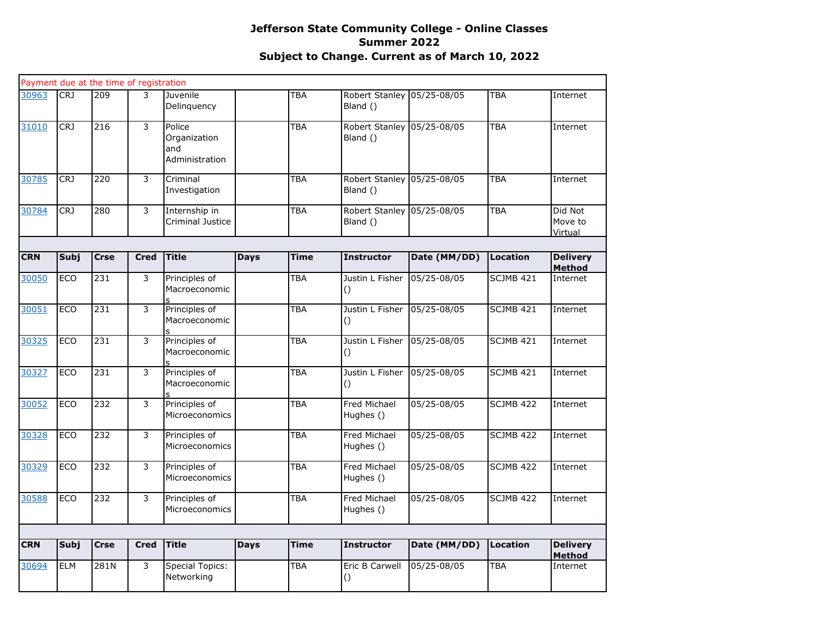|            |             | Payment due at the time of registration |                |                                                 |             |             |                                        |                 |                  |                                  |
|------------|-------------|-----------------------------------------|----------------|-------------------------------------------------|-------------|-------------|----------------------------------------|-----------------|------------------|----------------------------------|
| 30963      | <b>CRJ</b>  | 209                                     | 3              | Juvenile<br>Delinquency                         |             | <b>TBA</b>  | Robert Stanley 05/25-08/05<br>Bland () |                 | <b>TBA</b>       | Internet                         |
| 31010      | <b>CRJ</b>  | 216                                     | 3              | Police<br>Organization<br>and<br>Administration |             | <b>TBA</b>  | Robert Stanley 05/25-08/05<br>Bland () |                 | <b>TBA</b>       | Internet                         |
| 30785      | CRJ         | 220                                     | 3              | Criminal<br>Investigation                       |             | TBA         | Robert Stanley 05/25-08/05<br>Bland () |                 | <b>TBA</b>       | Internet                         |
| 30784      | CRJ         | 280                                     | 3              | Internship in<br>Criminal Justice               |             | <b>TBA</b>  | Robert Stanley 05/25-08/05<br>Bland () |                 | <b>TBA</b>       | Did Not<br>Move to<br>Virtual    |
| <b>CRN</b> | <b>Subj</b> | <b>Crse</b>                             | <b>Cred</b>    | <b>Title</b>                                    | <b>Days</b> | <b>Time</b> | <b>Instructor</b>                      | Date (MM/DD)    | Location         | <b>Delivery</b>                  |
|            |             |                                         |                |                                                 |             |             |                                        |                 |                  | <b>Method</b>                    |
| 30050      | <b>ECO</b>  | 231                                     | $\overline{3}$ | Principles of<br>Macroeconomic                  |             | <b>TBA</b>  | Justin L Fisher<br>$\circ$             | 05/25-08/05     | <b>SCJMB 421</b> | Internet                         |
| 30051      | ECO         | 231                                     | 3              | Principles of<br>Macroeconomic                  |             | <b>TBA</b>  | Justin L Fisher<br>$\left( \right)$    | 05/25-08/05     | SCJMB 421        | Internet                         |
| 30325      | ECO         | 231                                     | 3              | Principles of<br>Macroeconomic                  |             | <b>TBA</b>  | Justin L Fisher<br>()                  | 05/25-08/05     | <b>SCJMB 421</b> | Internet                         |
| 30327      | ECO         | 231                                     | 3              | Principles of<br>Macroeconomic                  |             | TBA         | Justin L Fisher<br>$\Omega$            | 05/25-08/05     | SCJMB 421        | Internet                         |
| 30052      | <b>ECO</b>  | 232                                     | 3              | Principles of<br>Microeconomics                 |             | <b>TBA</b>  | Fred Michael<br>Hughes ()              | 05/25-08/05     | <b>SCJMB 422</b> | Internet                         |
| 30328      | ECO         | 232                                     | 3              | Principles of<br>Microeconomics                 |             | <b>TBA</b>  | Fred Michael<br>Hughes ()              | 05/25-08/05     | <b>SCJMB 422</b> | Internet                         |
| 30329      | ECO         | 232                                     | 3              | Principles of<br>Microeconomics                 |             | <b>TBA</b>  | Fred Michael<br>Hughes ()              | 05/25-08/05     | SCJMB 422        | Internet                         |
| 30588      | <b>ECO</b>  | 232                                     | 3              | Principles of<br>Microeconomics                 |             | <b>TBA</b>  | Fred Michael<br>Hughes ()              | 05/25-08/05     | <b>SCJMB 422</b> | Internet                         |
|            |             |                                         |                |                                                 |             |             |                                        |                 |                  |                                  |
| <b>CRN</b> | <b>Subj</b> | <b>Crse</b>                             | <b>Cred</b>    | <b>Title</b>                                    | <b>Days</b> | <b>Time</b> | <b>Instructor</b>                      | Date (MM/DD)    | Location         | <b>Delivery</b><br><b>Method</b> |
| 30694      | <b>ELM</b>  | 281N                                    | 3              | <b>Special Topics:</b><br>Networking            |             | TBA         | Eric B Carwell<br>()                   | $05/25 - 08/05$ | TBA              | Internet                         |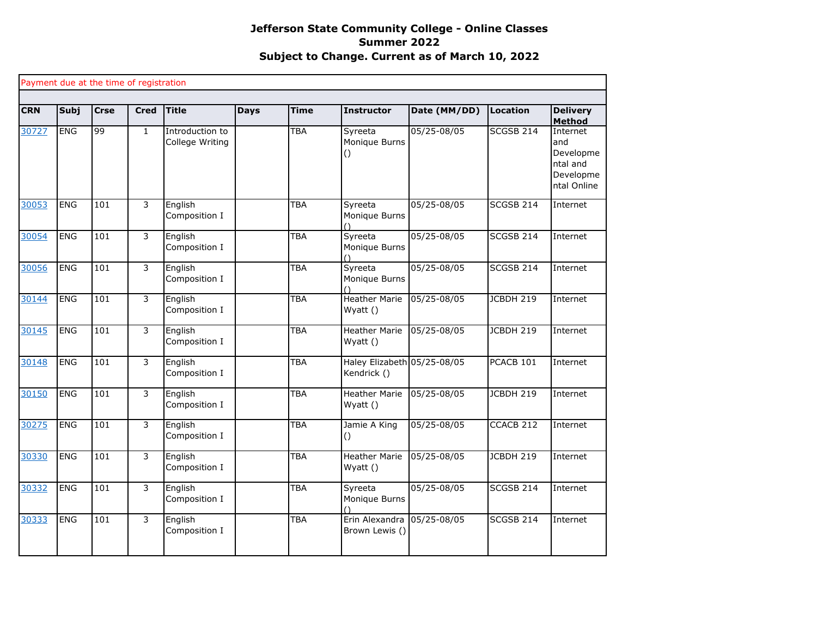|            |             |             | Payment due at the time of registration |                                    |             |             |                                            |              |                  |                                                                      |
|------------|-------------|-------------|-----------------------------------------|------------------------------------|-------------|-------------|--------------------------------------------|--------------|------------------|----------------------------------------------------------------------|
| <b>CRN</b> | <b>Subj</b> | <b>Crse</b> | <b>Cred</b>                             | <b>Title</b>                       | <b>Days</b> | <b>Time</b> | Instructor                                 | Date (MM/DD) | Location         | <b>Delivery</b><br>Method                                            |
| 30727      | <b>ENG</b>  | 99          | $\mathbf{1}$                            | Introduction to<br>College Writing |             | <b>TBA</b>  | Syreeta<br>Monique Burns                   | 05/25-08/05  | SCGSB 214        | Internet<br>and<br>Developme<br>ntal and<br>Developme<br>ntal Online |
| 30053      | <b>ENG</b>  | 101         | 3                                       | English<br>Composition I           |             | <b>TBA</b>  | Syreeta<br>Monique Burns                   | 05/25-08/05  | <b>SCGSB 214</b> | Internet                                                             |
| 30054      | <b>ENG</b>  | 101         | 3                                       | English<br>Composition I           |             | <b>TBA</b>  | Syreeta<br>Monique Burns<br>$\bigcap$      | 05/25-08/05  | SCGSB 214        | Internet                                                             |
| 30056      | <b>ENG</b>  | 101         | 3                                       | English<br>Composition I           |             | <b>TBA</b>  | Syreeta<br>Monique Burns                   | 05/25-08/05  | <b>SCGSB 214</b> | Internet                                                             |
| 30144      | <b>ENG</b>  | 101         | 3                                       | English<br>Composition I           |             | <b>TBA</b>  | <b>Heather Marie</b><br>$W\mathsf{yatt}()$ | 05/25-08/05  | JCBDH 219        | Internet                                                             |
| 30145      | <b>ENG</b>  | 101         | 3                                       | English<br>Composition I           |             | <b>TBA</b>  | <b>Heather Marie</b><br>Wyatt ()           | 05/25-08/05  | JCBDH 219        | Internet                                                             |
| 30148      | <b>ENG</b>  | 101         | $\overline{3}$                          | English<br>Composition I           |             | <b>TBA</b>  | Haley Elizabeth 05/25-08/05<br>Kendrick () |              | PCACB 101        | Internet                                                             |
| 30150      | <b>ENG</b>  | 101         | 3                                       | English<br>Composition I           |             | <b>TBA</b>  | <b>Heather Marie</b><br>Wyatt ()           | 05/25-08/05  | JCBDH 219        | Internet                                                             |
| 30275      | <b>ENG</b>  | 101         | 3                                       | English<br>Composition I           |             | <b>TBA</b>  | Jamie A King<br>$\circ$                    | 05/25-08/05  | CCACB 212        | Internet                                                             |
| 30330      | <b>ENG</b>  | 101         | 3                                       | English<br>Composition I           |             | <b>TBA</b>  | <b>Heather Marie</b><br>Wyatt ()           | 05/25-08/05  | <b>JCBDH 219</b> | Internet                                                             |
| 30332      | <b>ENG</b>  | 101         | 3                                       | English<br>Composition I           |             | <b>TBA</b>  | Syreeta<br>Monique Burns                   | 05/25-08/05  | SCGSB 214        | Internet                                                             |
| 30333      | <b>ENG</b>  | 101         | 3                                       | English<br>Composition I           |             | <b>TBA</b>  | Erin Alexandra<br>Brown Lewis ()           | 05/25-08/05  | <b>SCGSB 214</b> | Internet                                                             |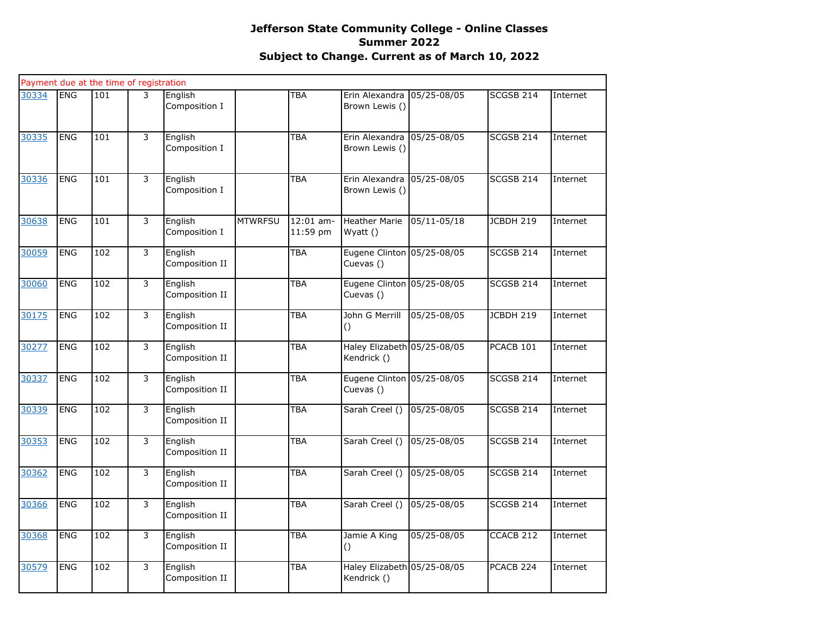|       |            | Payment due at the time of registration |   |                           |                |                         |                                            |             |                      |          |
|-------|------------|-----------------------------------------|---|---------------------------|----------------|-------------------------|--------------------------------------------|-------------|----------------------|----------|
| 30334 | <b>ENG</b> | 101                                     | 3 | English<br>Composition I  |                | <b>TBA</b>              | Erin Alexandra<br>Brown Lewis ()           | 05/25-08/05 | SCGSB 214            | Internet |
| 30335 | <b>ENG</b> | 101                                     | 3 | English<br>Composition I  |                | TBA                     | Erin Alexandra<br>Brown Lewis ()           | 05/25-08/05 | SCGSB 214            | Internet |
| 30336 | <b>ENG</b> | 101                                     | 3 | English<br>Composition I  |                | TBA                     | Erin Alexandra<br>Brown Lewis ()           | 05/25-08/05 | <b>SCGSB 214</b>     | Internet |
| 30638 | <b>ENG</b> | 101                                     | 3 | English<br>Composition I  | <b>MTWRFSU</b> | $12:01$ am-<br>11:59 pm | <b>Heather Marie</b><br>Wyatt ()           | 05/11-05/18 | JCBDH 219            | Internet |
| 30059 | <b>ENG</b> | 102                                     | 3 | English<br>Composition II |                | TBA                     | Eugene Clinton 05/25-08/05<br>Cuevas ()    |             | SCGSB 214            | Internet |
| 30060 | <b>ENG</b> | 102                                     | 3 | English<br>Composition II |                | TBA                     | Eugene Clinton 05/25-08/05<br>Cuevas ()    |             | SCGSB 214            | Internet |
| 30175 | <b>ENG</b> | 102                                     | 3 | English<br>Composition II |                | TBA                     | John G Merrill<br>$\left( \right)$         | 05/25-08/05 | <b>JCBDH 219</b>     | Internet |
| 30277 | <b>ENG</b> | 102                                     | 3 | English<br>Composition II |                | TBA                     | Haley Elizabeth 05/25-08/05<br>Kendrick () |             | PCACB 101            | Internet |
| 30337 | <b>ENG</b> | 102                                     | 3 | English<br>Composition II |                | TBA                     | Eugene Clinton 05/25-08/05<br>Cuevas ()    |             | SCGSB 214            | Internet |
| 30339 | <b>ENG</b> | 102                                     | 3 | English<br>Composition II |                | TBA                     | Sarah Creel ()                             | 05/25-08/05 | SCGSB 214            | Internet |
| 30353 | <b>ENG</b> | 102                                     | 3 | English<br>Composition II |                | TBA                     | Sarah Creel ()                             | 05/25-08/05 | <b>SCGSB 214</b>     | Internet |
| 30362 | <b>ENG</b> | 102                                     | 3 | English<br>Composition II |                | <b>TBA</b>              | Sarah Creel ()                             | 05/25-08/05 | SCGSB 214            | Internet |
| 30366 | <b>ENG</b> | 102                                     | 3 | English<br>Composition II |                | TBA                     | Sarah Creel ()                             | 05/25-08/05 | <b>SCGSB 214</b>     | Internet |
| 30368 | <b>ENG</b> | 102                                     | 3 | English<br>Composition II |                | TBA                     | Jamie A King<br>$\left( \right)$           | 05/25-08/05 | CCACB <sub>212</sub> | Internet |
| 30579 | <b>ENG</b> | 102                                     | 3 | English<br>Composition II |                | <b>TBA</b>              | Haley Elizabeth 05/25-08/05<br>Kendrick () |             | PCACB <sub>224</sub> | Internet |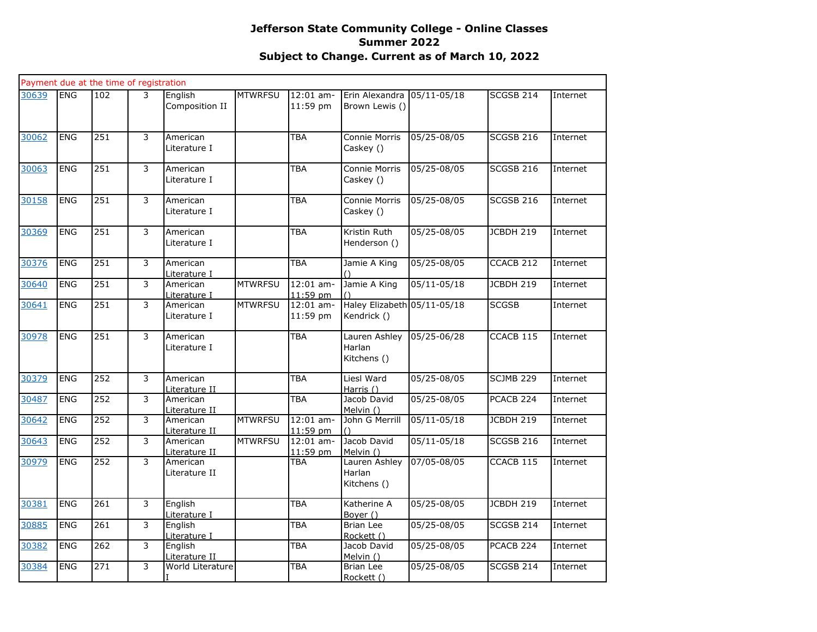|       |            | Payment due at the time of registration |                |                           |                |                         |                                            |                 |                      |          |
|-------|------------|-----------------------------------------|----------------|---------------------------|----------------|-------------------------|--------------------------------------------|-----------------|----------------------|----------|
| 30639 | <b>ENG</b> | 102                                     | 3              | English<br>Composition II | <b>MTWRFSU</b> | 12:01 am-<br>11:59 pm   | Erin Alexandra<br>Brown Lewis ()           | 05/11-05/18     | SCGSB 214            | Internet |
| 30062 | <b>ENG</b> | 251                                     | 3              | American<br>Literature I  |                | <b>TBA</b>              | Connie Morris<br>Caskey ()                 | 05/25-08/05     | <b>SCGSB 216</b>     | Internet |
| 30063 | <b>ENG</b> | 251                                     | 3              | American<br>Literature I  |                | <b>TBA</b>              | Connie Morris<br>Caskey ()                 | 05/25-08/05     | <b>SCGSB 216</b>     | Internet |
| 30158 | <b>ENG</b> | 251                                     | $\overline{3}$ | American<br>Literature I  |                | <b>TBA</b>              | Connie Morris<br>Caskey ()                 | $05/25 - 08/05$ | <b>SCGSB 216</b>     | Internet |
| 30369 | <b>ENG</b> | 251                                     | 3              | American<br>Literature I  |                | <b>TBA</b>              | Kristin Ruth<br>Henderson ()               | 05/25-08/05     | JCBDH 219            | Internet |
| 30376 | <b>ENG</b> | 251                                     | 3              | American<br>Literature I  |                | <b>TBA</b>              | Jamie A King                               | 05/25-08/05     | CCACB 212            | Internet |
| 30640 | <b>ENG</b> | 251                                     | 3              | American<br>Literature I  | <b>MTWRFSU</b> | $12:01$ am-<br>11:59 pm | Jamie A King                               | $05/11 - 05/18$ | JCBDH 219            | Internet |
| 30641 | <b>ENG</b> | 251                                     | 3              | American<br>Literature I  | <b>MTWRFSU</b> | $12:01$ am-<br>11:59 pm | Haley Elizabeth 05/11-05/18<br>Kendrick () |                 | <b>SCGSB</b>         | Internet |
| 30978 | <b>ENG</b> | 251                                     | 3              | American<br>Literature I  |                | <b>TBA</b>              | Lauren Ashley<br>Harlan<br>Kitchens ()     | 05/25-06/28     | CCACB 115            | Internet |
| 30379 | <b>ENG</b> | 252                                     | 3              | American<br>Literature II |                | <b>TBA</b>              | Liesl Ward<br>Harris ()                    | 05/25-08/05     | <b>SCJMB 229</b>     | Internet |
| 30487 | <b>ENG</b> | 252                                     | 3              | American<br>Literature II |                | <b>TBA</b>              | Jacob David<br>Melvin ()                   | 05/25-08/05     | PCACB 224            | Internet |
| 30642 | <b>ENG</b> | 252                                     | 3              | American<br>Literature II | <b>MTWRFSU</b> | $12:01$ am-<br>11:59 pm | John G Merrill<br>$\left(\right)$          | 05/11-05/18     | JCBDH 219            | Internet |
| 30643 | <b>ENG</b> | 252                                     | 3              | American<br>Literature II | <b>MTWRFSU</b> | $12:01$ am-<br>11:59 pm | Jacob David<br>Melvin ()                   | $05/11 - 05/18$ | <b>SCGSB 216</b>     | Internet |
| 30979 | <b>ENG</b> | 252                                     | 3              | American<br>Literature II |                | TBA                     | Lauren Ashley<br>Harlan<br>Kitchens ()     | 07/05-08/05     | CCACB 115            | Internet |
| 30381 | <b>ENG</b> | 261                                     | 3              | English<br>Literature I   |                | <b>TBA</b>              | Katherine A<br>Boyer ()                    | 05/25-08/05     | JCBDH 219            | Internet |
| 30885 | <b>ENG</b> | 261                                     | 3              | English<br>Literature I   |                | <b>TBA</b>              | Brian Lee<br>Rockett ()                    | 05/25-08/05     | SCGSB 214            | Internet |
| 30382 | <b>ENG</b> | 262                                     | $\overline{3}$ | English<br>Literature II  |                | <b>TBA</b>              | Jacob David<br>Melvin ()                   | 05/25-08/05     | PCACB <sub>224</sub> | Internet |
| 30384 | <b>ENG</b> | 271                                     | 3              | World Literature          |                | <b>TBA</b>              | <b>Brian Lee</b><br>Rockett ()             | 05/25-08/05     | SCGSB 214            | Internet |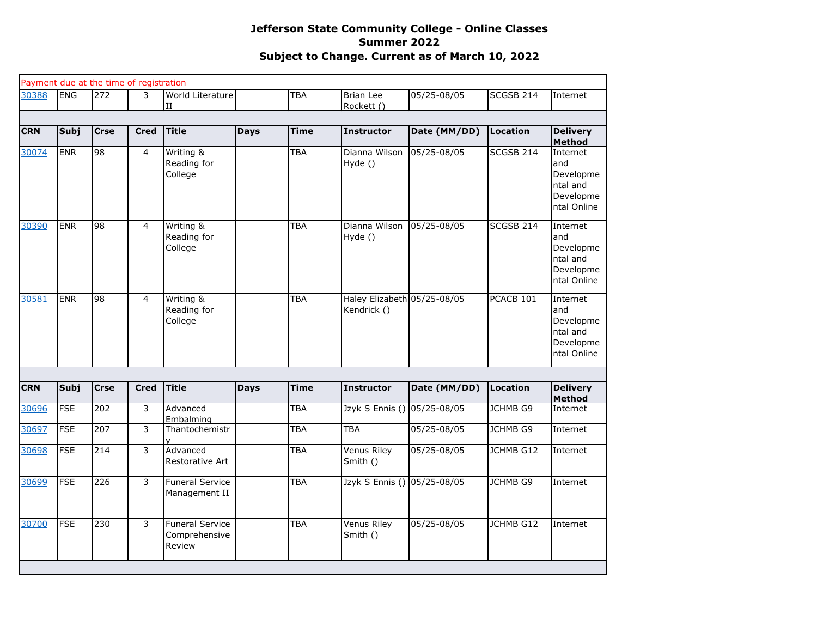|            |             | Payment due at the time of registration |                |                                                   |             |             |                                            |              |                 |                                                                      |
|------------|-------------|-----------------------------------------|----------------|---------------------------------------------------|-------------|-------------|--------------------------------------------|--------------|-----------------|----------------------------------------------------------------------|
| 30388      | <b>ENG</b>  | 272                                     | 3              | World Literature<br>$\mathbf{H}$                  |             | <b>TBA</b>  | <b>Brian Lee</b><br>Rockett ()             | 05/25-08/05  | SCGSB 214       | Internet                                                             |
|            |             |                                         |                |                                                   |             |             |                                            |              |                 |                                                                      |
| <b>CRN</b> | <b>Subj</b> | <b>Crse</b>                             | <b>Cred</b>    | <b>Title</b>                                      | <b>Days</b> | <b>Time</b> | <b>Instructor</b>                          | Date (MM/DD) | <b>Location</b> | <b>Delivery</b><br><b>Method</b>                                     |
| 30074      | <b>ENR</b>  | 98                                      | $\overline{4}$ | Writing &<br>Reading for<br>College               |             | <b>TBA</b>  | Dianna Wilson<br>Hyde ()                   | 05/25-08/05  | SCGSB 214       | Internet<br>and<br>Developme<br>ntal and<br>Developme<br>ntal Online |
| 30390      | <b>ENR</b>  | 98                                      | $\overline{4}$ | Writing &<br>Reading for<br>College               |             | TBA         | Dianna Wilson<br>Hyde ()                   | 05/25-08/05  | SCGSB 214       | Internet<br>and<br>Developme<br>ntal and<br>Developme<br>ntal Online |
| 30581      | <b>ENR</b>  | 98                                      | $\overline{4}$ | Writing &<br>Reading for<br>College               |             | <b>TBA</b>  | Haley Elizabeth 05/25-08/05<br>Kendrick () |              | PCACB 101       | Internet<br>and<br>Developme<br>ntal and<br>Developme<br>ntal Online |
|            |             |                                         |                |                                                   |             |             |                                            |              |                 |                                                                      |
| <b>CRN</b> | Subj        | <b>Crse</b>                             | <b>Cred</b>    | <b>Title</b>                                      | <b>Days</b> | <b>Time</b> | <b>Instructor</b>                          | Date (MM/DD) | <b>Location</b> | <b>Delivery</b><br>Method                                            |
| 30696      | <b>FSE</b>  | 202                                     | 3              | Advanced<br>Embalming                             |             | <b>TBA</b>  | Jzyk S Ennis ()                            | 05/25-08/05  | <b>JCHMB G9</b> | Internet                                                             |
| 30697      | <b>FSE</b>  | 207                                     | 3              | Thantochemistr                                    |             | <b>TBA</b>  | <b>TBA</b>                                 | 05/25-08/05  | <b>JCHMB G9</b> | Internet                                                             |
| 30698      | <b>FSE</b>  | 214                                     | 3              | Advanced<br>Restorative Art                       |             | <b>TBA</b>  | Venus Riley<br>Smith ()                    | 05/25-08/05  | JCHMB G12       | Internet                                                             |
| 30699      | <b>FSE</b>  | 226                                     | 3              | <b>Funeral Service</b><br>Management II           |             | <b>TBA</b>  | Jzyk S Ennis () 05/25-08/05                |              | <b>JCHMB G9</b> | Internet                                                             |
| 30700      | <b>FSE</b>  | 230                                     | 3              | <b>Funeral Service</b><br>Comprehensive<br>Review |             | <b>TBA</b>  | Venus Riley<br>Smith ()                    | 05/25-08/05  | JCHMB G12       | Internet                                                             |
|            |             |                                         |                |                                                   |             |             |                                            |              |                 |                                                                      |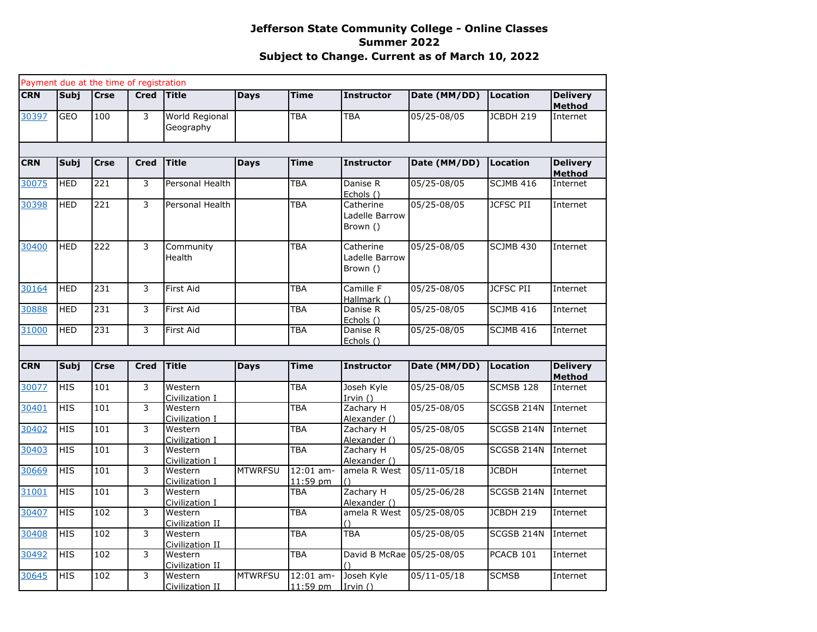|            |             | Payment due at the time of registration |                |                             |                |                         |                                         |                 |                      |                                  |
|------------|-------------|-----------------------------------------|----------------|-----------------------------|----------------|-------------------------|-----------------------------------------|-----------------|----------------------|----------------------------------|
| <b>CRN</b> | Subj        | <b>Crse</b>                             | <b>Cred</b>    | <b>Title</b>                | <b>Days</b>    | <b>Time</b>             | <b>Instructor</b>                       | Date (MM/DD)    | Location             | <b>Delivery</b><br><b>Method</b> |
| 30397      | <b>GEO</b>  | 100                                     | 3              | World Regional<br>Geography |                | <b>TBA</b>              | <b>TBA</b>                              | 05/25-08/05     | JCBDH 219            | Internet                         |
|            |             |                                         |                |                             |                |                         |                                         |                 |                      |                                  |
| <b>CRN</b> | <b>Subj</b> | <b>Crse</b>                             | <b>Cred</b>    | <b>Title</b>                | <b>Days</b>    | <b>Time</b>             | <b>Instructor</b>                       | Date (MM/DD)    | <b>Location</b>      | <b>Delivery</b><br><b>Method</b> |
| 30075      | <b>HED</b>  | 221                                     | 3              | Personal Health             |                | TBA                     | Danise R<br>Echols ()                   | 05/25-08/05     | SCJMB 416            | Internet                         |
| 30398      | <b>HED</b>  | 221                                     | 3              | Personal Health             |                | <b>TBA</b>              | Catherine<br>Ladelle Barrow<br>Brown () | 05/25-08/05     | <b>JCFSC PII</b>     | Internet                         |
| 30400      | <b>HED</b>  | 222                                     | 3              | Community<br>Health         |                | TBA                     | Catherine<br>Ladelle Barrow<br>Brown () | 05/25-08/05     | SCJMB 430            | Internet                         |
| 30164      | <b>HED</b>  | 231                                     | 3              | First Aid                   |                | <b>TBA</b>              | Camille F<br>Hallmark ()                | 05/25-08/05     | <b>JCFSC PII</b>     | Internet                         |
| 30888      | <b>HED</b>  | 231                                     | 3              | First Aid                   |                | <b>TBA</b>              | Danise R<br>Echols ()                   | 05/25-08/05     | SCJMB 416            | Internet                         |
| 31000      | <b>HED</b>  | 231                                     | 3              | First Aid                   |                | <b>TBA</b>              | Danise R<br>Echols ()                   | 05/25-08/05     | <b>SCJMB 416</b>     | Internet                         |
|            |             |                                         |                |                             |                |                         |                                         |                 |                      |                                  |
| <b>CRN</b> | <b>Subj</b> | <b>Crse</b>                             | <b>Cred</b>    | <b>Title</b>                | Days           | <b>Time</b>             | <b>Instructor</b>                       | Date (MM/DD)    | Location             | <b>Delivery</b><br><b>Method</b> |
| 30077      | <b>HIS</b>  | 101                                     | 3              | Western<br>Civilization I   |                | <b>TBA</b>              | Joseh Kyle<br>Irvin $()$                | 05/25-08/05     | SCMSB 128            | Internet                         |
| 30401      | <b>HIS</b>  | 101                                     | 3              | Western<br>Civilization I   |                | <b>TBA</b>              | Zachary H<br>Alexander ()               | 05/25-08/05     | SCGSB 214N           | Internet                         |
| 30402      | <b>HIS</b>  | 101                                     | $\overline{3}$ | Western<br>Civilization I   |                | <b>TBA</b>              | Zachary H<br>Alexander ()               | 05/25-08/05     | SCGSB 214N           | Internet                         |
| 30403      | <b>HIS</b>  | 101                                     | $\overline{3}$ | Western<br>Civilization I   |                | <b>TBA</b>              | Zachary H<br>Alexander ()               | 05/25-08/05     | SCGSB 214N           | Internet                         |
| 30669      | <b>HIS</b>  | 101                                     | $\overline{3}$ | Western<br>Civilization I   | <b>MTWRFSU</b> | $12:01$ am-<br>11:59 pm | amela R West                            | $05/11 - 05/18$ | <b>JCBDH</b>         | Internet                         |
| 31001      | <b>HIS</b>  | 101                                     | $\overline{3}$ | Western<br>Civilization I   |                | <b>TBA</b>              | Zachary H<br>Alexander ()               | 05/25-06/28     | SCGSB 214N           | Internet                         |
| 30407      | <b>HIS</b>  | 102                                     | $\overline{3}$ | Western<br>Civilization II  |                | <b>TBA</b>              | amela R West                            | 05/25-08/05     | <b>JCBDH 219</b>     | Internet                         |
| 30408      | <b>HIS</b>  | 102                                     | $\overline{3}$ | Western<br>Civilization II  |                | <b>TBA</b>              | <b>TBA</b>                              | 05/25-08/05     | SCGSB 214N           | Internet                         |
| 30492      | <b>HIS</b>  | 102                                     | $\overline{3}$ | Western<br>Civilization II  |                | <b>TBA</b>              | David B McRae 05/25-08/05               |                 | PCACB <sub>101</sub> | Internet                         |
| 30645      | <b>HIS</b>  | 102                                     | 3              | Western<br>Civilization II  | <b>MTWRFSU</b> | $12:01$ am-<br>11:59 pm | Joseh Kyle<br>Irvin()                   | $05/11 - 05/18$ | <b>SCMSB</b>         | Internet                         |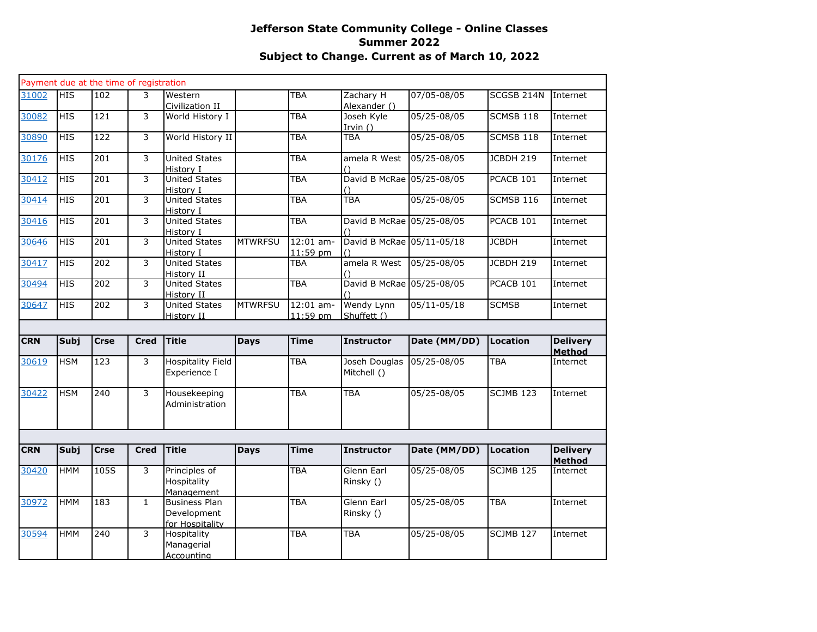|            |             | Payment due at the time of registration |              |                                                        |                |                         |                              |                 |                  |                                  |
|------------|-------------|-----------------------------------------|--------------|--------------------------------------------------------|----------------|-------------------------|------------------------------|-----------------|------------------|----------------------------------|
| 31002      | <b>HIS</b>  | 102                                     | 3            | Western<br>Civilization II                             |                | TBA                     | Zachary H<br>Alexander ()    | 07/05-08/05     | SCGSB 214N       | Internet                         |
| 30082      | <b>HIS</b>  | 121                                     | 3            | World History I                                        |                | <b>TBA</b>              | Joseh Kyle<br>Irvin $()$     | 05/25-08/05     | SCMSB 118        | Internet                         |
| 30890      | <b>HIS</b>  | 122                                     | 3            | World History II                                       |                | TBA                     | <b>TBA</b>                   | 05/25-08/05     | SCMSB 118        | Internet                         |
| 30176      | HIS         | 201                                     | 3            | <b>United States</b><br>History I                      |                | TBA                     | amela R West<br>$\bigcap$    | 05/25-08/05     | JCBDH 219        | Internet                         |
| 30412      | <b>HIS</b>  | 201                                     | 3            | <b>United States</b><br>History I                      |                | <b>TBA</b>              | David B McRae 05/25-08/05    |                 | PCACB 101        | Internet                         |
| 30414      | <b>HIS</b>  | $\overline{201}$                        | 3            | <b>United States</b><br>History I                      |                | TBA                     | <b>TBA</b>                   | 05/25-08/05     | <b>SCMSB 116</b> | Internet                         |
| 30416      | HIS         | 201                                     | 3            | <b>United States</b><br>History I                      |                | <b>TBA</b>              | David B McRae 05/25-08/05    |                 | PCACB 101        | Internet                         |
| 30646      | <b>HIS</b>  | 201                                     | 3            | <b>United States</b><br>History I                      | <b>MTWRFSU</b> | $12:01$ am-<br>11:59 pm | David B McRae 05/11-05/18    |                 | <b>JCBDH</b>     | Internet                         |
| 30417      | <b>HIS</b>  | 202                                     | 3            | <b>United States</b><br>History II                     |                | TBA                     | amela R West                 | 05/25-08/05     | JCBDH 219        | Internet                         |
| 30494      | <b>HIS</b>  | 202                                     | 3            | <b>United States</b><br>History II                     |                | TBA                     | David B McRae 05/25-08/05    |                 | PCACB 101        | Internet                         |
| 30647      | HIS         | $\overline{202}$                        | 3            | <b>United States</b><br>History II                     | <b>MTWRFSU</b> | $12:01$ am-<br>11:59 pm | Wendy Lynn<br>Shuffett ()    | $05/11 - 05/18$ | <b>SCMSB</b>     | Internet                         |
|            |             |                                         |              |                                                        |                |                         |                              |                 |                  |                                  |
| <b>CRN</b> | <b>Subj</b> | <b>Crse</b>                             | <b>Cred</b>  | <b>Title</b>                                           | <b>Days</b>    | <b>Time</b>             | <b>Instructor</b>            | Date (MM/DD)    | <b>Location</b>  | <b>Delivery</b><br><b>Method</b> |
| 30619      | <b>HSM</b>  | 123                                     | 3            | Hospitality Field<br>Experience I                      |                | TBA                     | Joseh Douglas<br>Mitchell () | 05/25-08/05     | <b>TBA</b>       | Internet                         |
| 30422      | <b>HSM</b>  | 240                                     | 3            | Housekeeping<br>Administration                         |                | TBA                     | TBA                          | 05/25-08/05     | SCJMB 123        | Internet                         |
|            |             |                                         |              |                                                        |                |                         |                              |                 |                  |                                  |
| <b>CRN</b> | Subj        | <b>Crse</b>                             | <b>Cred</b>  | <b>Title</b>                                           | <b>Days</b>    | <b>Time</b>             | <b>Instructor</b>            | Date (MM/DD)    | Location         | <b>Delivery</b><br><b>Method</b> |
| 30420      | <b>HMM</b>  | $\overline{1}05S$                       | 3            | Principles of<br>Hospitality<br><b>Management</b>      |                | TBA                     | Glenn Earl<br>Rinsky ()      | 05/25-08/05     | <b>SCJMB 125</b> | Internet                         |
| 30972      | <b>HMM</b>  | 183                                     | $\mathbf{1}$ | <b>Business Plan</b><br>Development<br>for Hospitality |                | TBA                     | Glenn Earl<br>Rinsky ()      | 05/25-08/05     | <b>TBA</b>       | Internet                         |
| 30594      | <b>HMM</b>  | 240                                     | 3            | Hospitality<br>Managerial<br>Accounting                |                | TBA                     | <b>TBA</b>                   | 05/25-08/05     | <b>SCJMB 127</b> | Internet                         |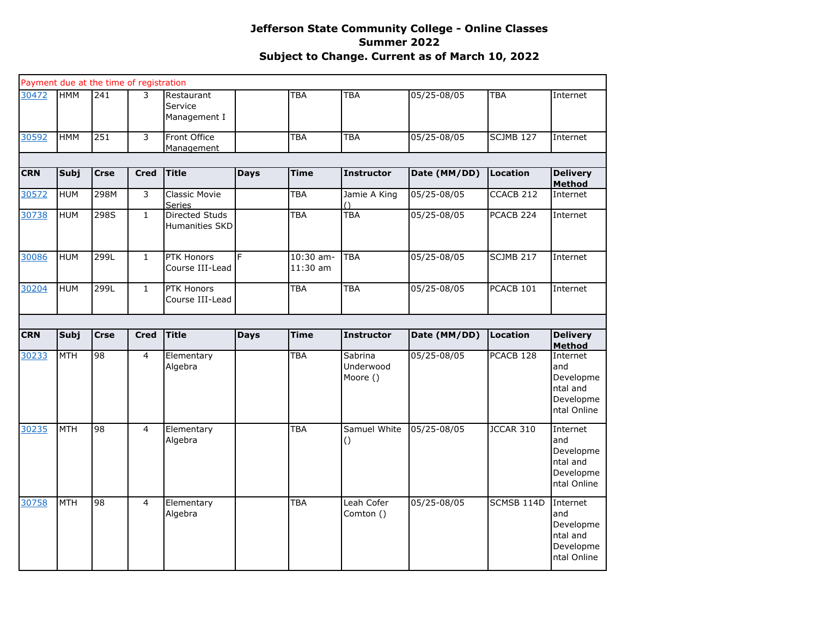|            |             | Payment due at the time of registration |                |                                         |             |                         |                                  |              |                       |                                                                      |
|------------|-------------|-----------------------------------------|----------------|-----------------------------------------|-------------|-------------------------|----------------------------------|--------------|-----------------------|----------------------------------------------------------------------|
| 30472      | <b>HMM</b>  | 241                                     | 3              | Restaurant<br>Service<br>Management I   |             | <b>TBA</b>              | <b>TBA</b>                       | 05/25-08/05  | <b>TBA</b>            | Internet                                                             |
| 30592      | <b>HMM</b>  | 251                                     | $\overline{3}$ | Front Office<br><b>Management</b>       |             | <b>TBA</b>              | <b>TBA</b>                       | 05/25-08/05  | <b>SCJMB 127</b>      | Internet                                                             |
|            |             |                                         |                |                                         |             |                         |                                  |              |                       |                                                                      |
| <b>CRN</b> | <b>Subj</b> | <b>Crse</b>                             | <b>Cred</b>    | <b>Title</b>                            | <b>Days</b> | Time                    | <b>Instructor</b>                | Date (MM/DD) | Location              | <b>Delivery</b><br><b>Method</b>                                     |
| 30572      | <b>HUM</b>  | 298M                                    | 3              | Classic Movie<br><b>Series</b>          |             | <b>TBA</b>              | Jamie A King                     | 05/25-08/05  | CCACB <sub>212</sub>  | Internet                                                             |
| 30738      | <b>HUM</b>  | 298S                                    | $\mathbf{1}$   | <b>Directed Studs</b><br>Humanities SKD |             | <b>TBA</b>              | <b>TBA</b>                       | 05/25-08/05  | PCACB <sub>224</sub>  | Internet                                                             |
| 30086      | <b>HUM</b>  | 299L                                    | $\mathbf{1}$   | <b>PTK Honors</b><br>Course III-Lead    | F           | 10:30 am-<br>$11:30$ am | <b>TBA</b>                       | 05/25-08/05  | <b>SCJMB 217</b>      | Internet                                                             |
| 30204      | <b>HUM</b>  | 299L                                    | $\mathbf{1}$   | PTK Honors<br>Course III-Lead           |             | <b>TBA</b>              | TBA                              | 05/25-08/05  | PCACB 101             | Internet                                                             |
|            |             |                                         |                |                                         |             |                         |                                  |              |                       |                                                                      |
| <b>CRN</b> | Subj        | <b>Crse</b>                             | <b>Cred</b>    | <b>Title</b>                            | <b>Days</b> | <b>Time</b>             | <b>Instructor</b>                | Date (MM/DD) | Location              | <b>Delivery</b><br><b>Method</b>                                     |
| 30233      | <b>MTH</b>  | $\overline{8}$                          | $\overline{4}$ | Elementary<br>Algebra                   |             | <b>TBA</b>              | Sabrina<br>Underwood<br>Moore () | 05/25-08/05  | PCACB 128             | Internet<br>and<br>Developme<br>ntal and<br>Developme<br>ntal Online |
| 30235      | <b>MTH</b>  | 98                                      | $\overline{4}$ | Elementary<br>Algebra                   |             | <b>TBA</b>              | Samuel White<br>$\left( \right)$ | 05/25-08/05  | <b>JCCAR 310</b>      | Internet<br>and<br>Developme<br>ntal and<br>Developme<br>ntal Online |
| 30758      | <b>MTH</b>  | 98                                      | $\overline{4}$ | Elementary<br>Algebra                   |             | TBA                     | Leah Cofer<br>Comton ()          | 05/25-08/05  | SCMSB <sub>114D</sub> | Internet<br>and<br>Developme<br>ntal and<br>Developme<br>ntal Online |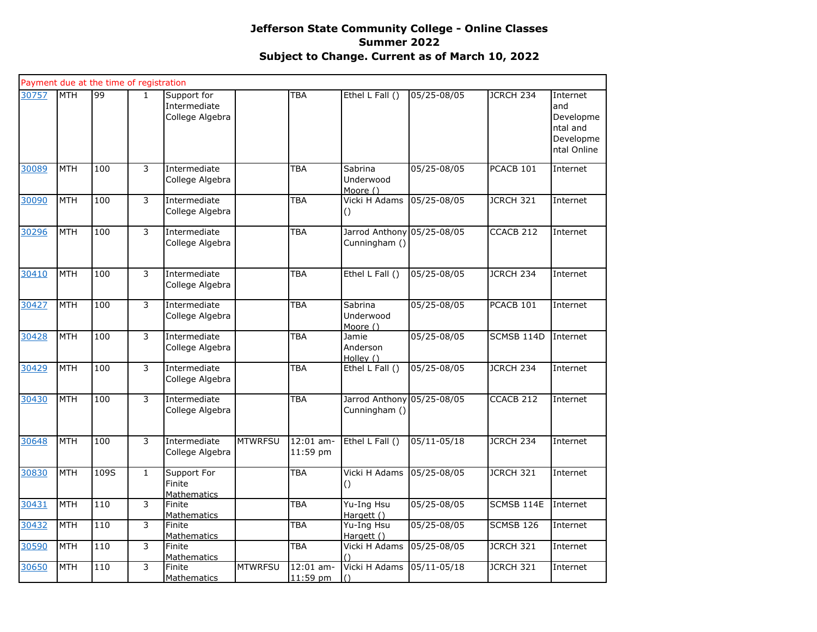|       |            | Payment due at the time of registration |              |                                                |                |                         |                                             |             |                  |                                                                      |
|-------|------------|-----------------------------------------|--------------|------------------------------------------------|----------------|-------------------------|---------------------------------------------|-------------|------------------|----------------------------------------------------------------------|
| 30757 | MTH        | 66                                      | $\mathbf{1}$ | Support for<br>Intermediate<br>College Algebra |                | <b>TBA</b>              | Ethel L Fall ()                             | 05/25-08/05 | JCRCH 234        | Internet<br>and<br>Developme<br>ntal and<br>Developme<br>ntal Online |
| 30089 | <b>MTH</b> | 100                                     | 3            | Intermediate<br>College Algebra                |                | <b>TBA</b>              | Sabrina<br>Underwood<br>Moore ()            | 05/25-08/05 | PCACB 101        | Internet                                                             |
| 30090 | <b>MTH</b> | 100                                     | 3            | Intermediate<br>College Algebra                |                | <b>TBA</b>              | Vicki H Adams<br>$\circ$                    | 05/25-08/05 | <b>JCRCH 321</b> | Internet                                                             |
| 30296 | <b>MTH</b> | 100                                     | 3            | Intermediate<br>College Algebra                |                | <b>TBA</b>              | Jarrod Anthony 05/25-08/05<br>Cunningham () |             | CCACB 212        | Internet                                                             |
| 30410 | <b>MTH</b> | 100                                     | 3            | Intermediate<br>College Algebra                |                | <b>TBA</b>              | Ethel L Fall ()                             | 05/25-08/05 | JCRCH 234        | Internet                                                             |
| 30427 | <b>MTH</b> | 100                                     | 3            | Intermediate<br>College Algebra                |                | <b>TBA</b>              | Sabrina<br>Underwood<br>Moore ()            | 05/25-08/05 | PCACB 101        | Internet                                                             |
| 30428 | <b>MTH</b> | 100                                     | 3            | Intermediate<br>College Algebra                |                | <b>TBA</b>              | Jamie<br>Anderson<br>Holley ()              | 05/25-08/05 | SCMSB 114D       | Internet                                                             |
| 30429 | <b>MTH</b> | 100                                     | 3            | Intermediate<br>College Algebra                |                | <b>TBA</b>              | Ethel L Fall ()                             | 05/25-08/05 | JCRCH 234        | Internet                                                             |
| 30430 | <b>MTH</b> | 100                                     | 3            | Intermediate<br>College Algebra                |                | <b>TBA</b>              | Jarrod Anthony 05/25-08/05<br>Cunningham () |             | CCACB 212        | Internet                                                             |
| 30648 | <b>MTH</b> | 100                                     | 3            | Intermediate<br>College Algebra                | <b>MTWRFSU</b> | 12:01 am-<br>11:59 pm   | Ethel L Fall ()                             | 05/11-05/18 | JCRCH 234        | Internet                                                             |
| 30830 | <b>MTH</b> | 109S                                    | $\mathbf{1}$ | Support For<br>Finite<br><b>Mathematics</b>    |                | <b>TBA</b>              | Vicki H Adams<br>$\circ$                    | 05/25-08/05 | <b>JCRCH 321</b> | Internet                                                             |
| 30431 | <b>MTH</b> | 110                                     | 3            | Finite<br>Mathematics                          |                | <b>TBA</b>              | Yu-Ing Hsu<br>Hargett ()                    | 05/25-08/05 | SCMSB 114E       | Internet                                                             |
| 30432 | <b>MTH</b> | 110                                     | 3            | Finite<br><b>Mathematics</b>                   |                | TBA                     | Yu-Ing Hsu<br>Hargett ()                    | 05/25-08/05 | SCMSB 126        | Internet                                                             |
| 30590 | <b>MTH</b> | 110                                     | 3            | Finite<br><b>Mathematics</b>                   |                | TBA                     | Vicki H Adams                               | 05/25-08/05 | <b>JCRCH 321</b> | Internet                                                             |
| 30650 | <b>MTH</b> | 110                                     | 3            | Finite<br>Mathematics                          | <b>MTWRFSU</b> | $12:01$ am-<br>11:59 pm | Vicki H Adams<br>$\bigcap$                  | 05/11-05/18 | JCRCH 321        | Internet                                                             |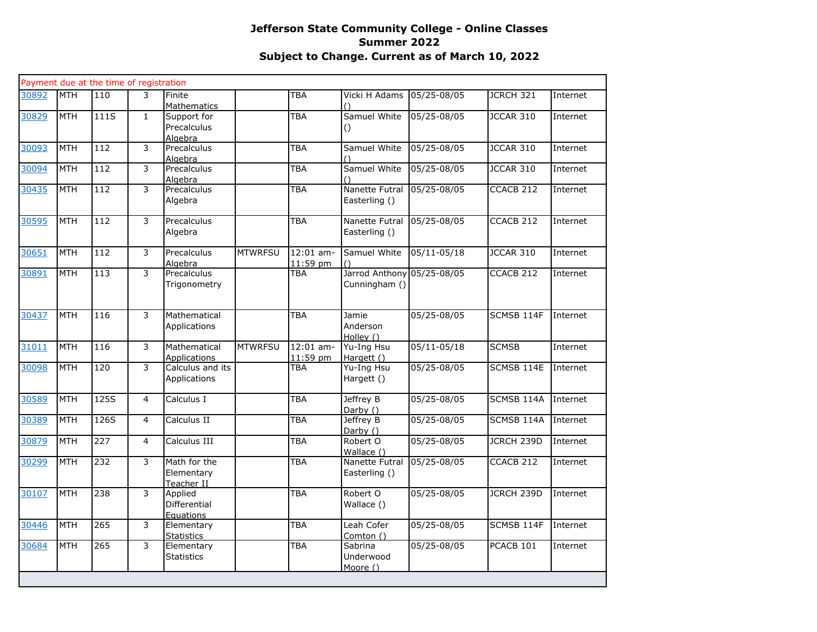|       |            | Payment due at the time of registration |                |                                          |                |                         |                                  |                 |                      |          |
|-------|------------|-----------------------------------------|----------------|------------------------------------------|----------------|-------------------------|----------------------------------|-----------------|----------------------|----------|
| 30892 | <b>MTH</b> | 110                                     | 3              | Finite<br><b>Mathematics</b>             |                | <b>TBA</b>              | Vicki H Adams                    | 05/25-08/05     | JCRCH 321            | Internet |
| 30829 | <b>MTH</b> | 111S                                    | $\mathbf{1}$   | Support for<br>Precalculus<br>Alaebra    |                | <b>TBA</b>              | Samuel White<br>$\left( \right)$ | 05/25-08/05     | JCCAR 310            | Internet |
| 30093 | <b>MTH</b> | 112                                     | 3              | Precalculus<br>Alaebra                   |                | <b>TBA</b>              | Samuel White                     | 05/25-08/05     | <b>JCCAR 310</b>     | Internet |
| 30094 | <b>MTH</b> | 112                                     | 3              | Precalculus<br>Algebra                   |                | <b>TBA</b>              | Samuel White                     | 05/25-08/05     | JCCAR 310            | Internet |
| 30435 | <b>MTH</b> | 112                                     | 3              | Precalculus<br>Algebra                   |                | <b>TBA</b>              | Nanette Futral<br>Easterling ()  | 05/25-08/05     | CCACB 212            | Internet |
| 30595 | <b>MTH</b> | 112                                     | 3              | Precalculus<br>Algebra                   |                | <b>TBA</b>              | Nanette Futral<br>Easterling ()  | 05/25-08/05     | CCACB 212            | Internet |
| 30651 | <b>MTH</b> | 112                                     | 3              | Precalculus<br>Algebra                   | <b>MTWRFSU</b> | $12:01$ am-<br>11:59 pm | Samuel White                     | $05/11 - 05/18$ | <b>JCCAR 310</b>     | Internet |
| 30891 | <b>MTH</b> | 113                                     | 3              | Precalculus<br>Trigonometry              |                | <b>TBA</b>              | Jarrod Anthony<br>Cunningham ()  | 05/25-08/05     | CCACB <sub>212</sub> | Internet |
| 30437 | <b>MTH</b> | 116                                     | 3              | Mathematical<br>Applications             |                | <b>TBA</b>              | Jamie<br>Anderson<br>Holley ()   | 05/25-08/05     | SCMSB 114F           | Internet |
| 31011 | <b>MTH</b> | 116                                     | 3              | Mathematical<br><b>Applications</b>      | <b>MTWRFSU</b> | $12:01$ am-<br>11:59 pm | Yu-Ing Hsu<br>Hargett ()         | $05/11 - 05/18$ | <b>SCMSB</b>         | Internet |
| 30098 | <b>MTH</b> | 120                                     | 3              | Calculus and its<br>Applications         |                | <b>TBA</b>              | Yu-Ing Hsu<br>Hargett ()         | 05/25-08/05     | SCMSB 114E           | Internet |
| 30589 | <b>MTH</b> | 125S                                    | $\overline{4}$ | Calculus I                               |                | <b>TBA</b>              | Jeffrey B<br>Darby ()            | 05/25-08/05     | SCMSB 114A           | Internet |
| 30389 | <b>MTH</b> | 126S                                    | $\overline{4}$ | Calculus II                              |                | <b>TBA</b>              | Jeffrey B<br>Darby ()            | 05/25-08/05     | SCMSB 114A           | Internet |
| 30879 | <b>MTH</b> | 227                                     | $\overline{4}$ | Calculus III                             |                | <b>TBA</b>              | Robert O<br>Wallace ()           | 05/25-08/05     | JCRCH 239D           | Internet |
| 30299 | <b>MTH</b> | 232                                     | 3              | Math for the<br>Elementary<br>Teacher II |                | <b>TBA</b>              | Nanette Futral<br>Easterling ()  | 05/25-08/05     | CCACB <sub>212</sub> | Internet |
| 30107 | <b>MTH</b> | 238                                     | $\overline{3}$ | Applied<br>Differential<br>Equations     |                | <b>TBA</b>              | Robert O<br>Wallace ()           | 05/25-08/05     | <b>JCRCH 239D</b>    | Internet |
| 30446 | <b>MTH</b> | 265                                     | 3              | Elementary<br>Statistics                 |                | <b>TBA</b>              | Leah Cofer<br>Comton ()          | 05/25-08/05     | SCMSB 114F           | Internet |
| 30684 | <b>MTH</b> | 265                                     | 3              | Elementary<br><b>Statistics</b>          |                | <b>TBA</b>              | Sabrina<br>Underwood<br>Moore () | 05/25-08/05     | PCACB 101            | Internet |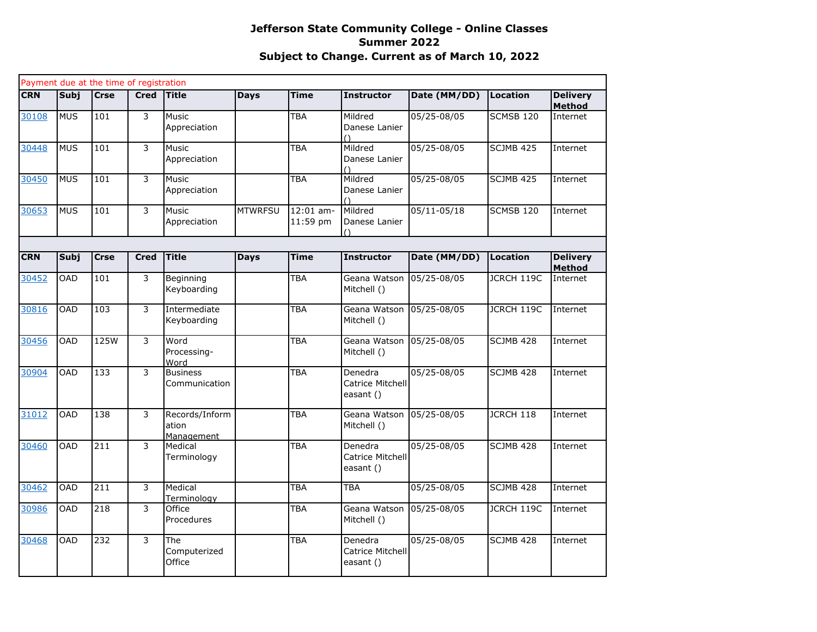|            |             | Payment due at the time of registration |                |                                       |                |                       |                                             |                 |            |                                  |
|------------|-------------|-----------------------------------------|----------------|---------------------------------------|----------------|-----------------------|---------------------------------------------|-----------------|------------|----------------------------------|
| <b>CRN</b> | <b>Subi</b> | <b>Crse</b>                             | <b>Cred</b>    | Title                                 | <b>Days</b>    | <b>Time</b>           | <b>Instructor</b>                           | Date (MM/DD)    | Location   | <b>Delivery</b><br><b>Method</b> |
| 30108      | <b>MUS</b>  | 101                                     | 3              | <b>Music</b><br>Appreciation          |                | <b>TBA</b>            | Mildred<br>Danese Lanier<br>$\bigcap$       | 05/25-08/05     | SCMSB 120  | Internet                         |
| 30448      | <b>MUS</b>  | 101                                     | 3              | <b>Music</b><br>Appreciation          |                | <b>TBA</b>            | Mildred<br>Danese Lanier<br>$\left(\right)$ | 05/25-08/05     | SCJMB 425  | Internet                         |
| 30450      | <b>MUS</b>  | 101                                     | 3              | Music<br>Appreciation                 |                | <b>TBA</b>            | Mildred<br>Danese Lanier                    | 05/25-08/05     | SCJMB 425  | Internet                         |
| 30653      | <b>MUS</b>  | 101                                     | 3              | Music<br>Appreciation                 | <b>MTWRFSU</b> | 12:01 am-<br>11:59 pm | Mildred<br>Danese Lanier<br>$\left(\right)$ | 05/11-05/18     | SCMSB 120  | Internet                         |
|            |             |                                         |                |                                       |                |                       |                                             |                 |            |                                  |
| <b>CRN</b> | Subj        | <b>Crse</b>                             | <b>Cred</b>    | <b>Title</b>                          | <b>Days</b>    | <b>Time</b>           | <b>Instructor</b>                           | Date (MM/DD)    | Location   | <b>Delivery</b><br><b>Method</b> |
| 30452      | OAD         | 101                                     | 3              | Beginning<br>Keyboarding              |                | <b>TBA</b>            | Geana Watson<br>Mitchell ()                 | $05/25 - 08/05$ | JCRCH 119C | Internet                         |
| 30816      | <b>OAD</b>  | 103                                     | 3              | Intermediate<br>Keyboarding           |                | <b>TBA</b>            | Geana Watson<br>Mitchell ()                 | 05/25-08/05     | JCRCH 119C | Internet                         |
| 30456      | <b>OAD</b>  | 125W                                    | 3              | Word<br>Processing-<br>Word           |                | <b>TBA</b>            | Geana Watson<br>Mitchell ()                 | 05/25-08/05     | SCJMB 428  | Internet                         |
| 30904      | <b>OAD</b>  | 133                                     | $\overline{3}$ | <b>Business</b><br>Communication      |                | <b>TBA</b>            | Denedra<br>Catrice Mitchell<br>easant ()    | 05/25-08/05     | SCJMB 428  | Internet                         |
| 31012      | <b>OAD</b>  | 138                                     | 3              | Records/Inform<br>ation<br>Management |                | <b>TBA</b>            | Geana Watson<br>Mitchell ()                 | 05/25-08/05     | JCRCH 118  | Internet                         |
| 30460      | <b>OAD</b>  | 211                                     | 3              | Medical<br>Terminology                |                | <b>TBA</b>            | Denedra<br>Catrice Mitchell<br>easant ()    | 05/25-08/05     | SCJMB 428  | Internet                         |
| 30462      | <b>OAD</b>  | 211                                     | 3              | Medical<br>Terminology                |                | <b>TBA</b>            | <b>TBA</b>                                  | 05/25-08/05     | SCJMB 428  | Internet                         |
| 30986      | OAD         | 218                                     | 3              | Office<br>Procedures                  |                | <b>TBA</b>            | Geana Watson<br>Mitchell ()                 | 05/25-08/05     | JCRCH 119C | Internet                         |
| 30468      | <b>OAD</b>  | 232                                     | 3              | The<br>Computerized<br>Office         |                | <b>TBA</b>            | Denedra<br>Catrice Mitchell<br>easant ()    | 05/25-08/05     | SCJMB 428  | Internet                         |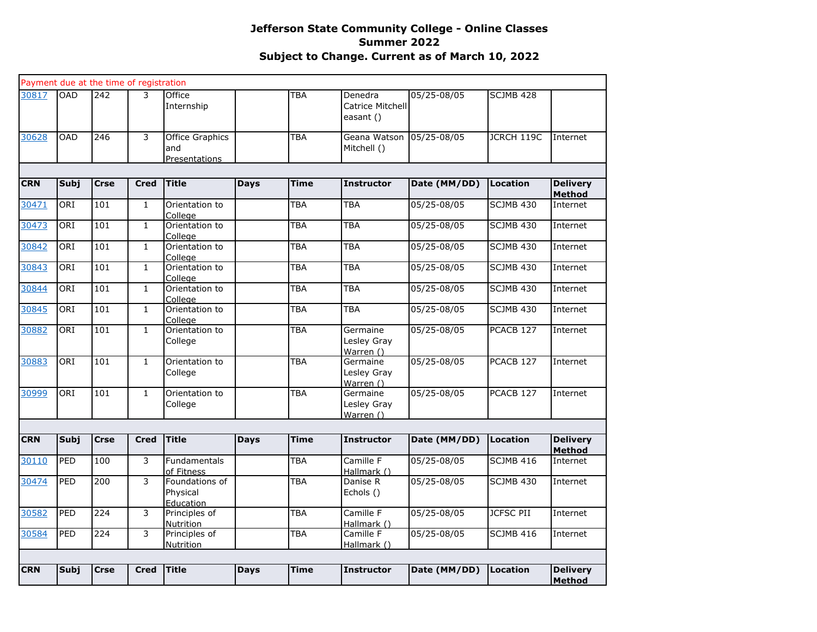|            |            |                  | Payment due at the time of registration |                                                |             |             |                                          |                 |                  |                                  |
|------------|------------|------------------|-----------------------------------------|------------------------------------------------|-------------|-------------|------------------------------------------|-----------------|------------------|----------------------------------|
| 30817      | <b>OAD</b> | 242              | 3                                       | Office<br>Internship                           |             | TBA         | Denedra<br>Catrice Mitchell<br>easant () | 05/25-08/05     | SCJMB 428        |                                  |
| 30628      | <b>OAD</b> | $\overline{246}$ | 3                                       | <b>Office Graphics</b><br>and<br>Presentations |             | <b>TBA</b>  | Geana Watson<br>Mitchell ()              | $05/25 - 08/05$ | JCRCH 119C       | Internet                         |
|            |            |                  |                                         |                                                |             |             |                                          |                 |                  |                                  |
| <b>CRN</b> | Subj       | <b>Crse</b>      | <b>Cred</b>                             | <b>Title</b>                                   | <b>Days</b> | <b>Time</b> | <b>Instructor</b>                        | Date (MM/DD)    | Location         | <b>Delivery</b><br><b>Method</b> |
| 30471      | ORI        | 101              | $\mathbf{1}$                            | Orientation to<br>College                      |             | TBA         | <b>TBA</b>                               | 05/25-08/05     | SCJMB 430        | Internet                         |
| 30473      | ORI        | 101              | $\mathbf{1}$                            | Orientation to<br>College                      |             | <b>TBA</b>  | <b>TBA</b>                               | 05/25-08/05     | SCJMB 430        | Internet                         |
| 30842      | ORI        | 101              | $\mathbf{1}$                            | Orientation to<br>College                      |             | <b>TBA</b>  | <b>TBA</b>                               | 05/25-08/05     | <b>SCJMB 430</b> | Internet                         |
| 30843      | ORI        | 101              | $\mathbf{1}$                            | Orientation to<br>College                      |             | <b>TBA</b>  | <b>TBA</b>                               | 05/25-08/05     | SCJMB 430        | Internet                         |
| 30844      | ORI        | 101              | $\mathbf{1}$                            | Orientation to<br>College                      |             | <b>TBA</b>  | <b>TBA</b>                               | 05/25-08/05     | <b>SCJMB 430</b> | Internet                         |
| 30845      | ORI        | 101              | $\mathbf{1}$                            | Orientation to<br>College                      |             | TBA         | <b>TBA</b>                               | 05/25-08/05     | <b>SCJMB 430</b> | Internet                         |
| 30882      | ORI        | 101              | $\mathbf{1}$                            | Orientation to<br>College                      |             | <b>TBA</b>  | Germaine<br>Lesley Gray<br>Warren ()     | 05/25-08/05     | PCACB 127        | Internet                         |
| 30883      | ORI        | 101              | $\mathbf{1}$                            | Orientation to<br>College                      |             | <b>TBA</b>  | Germaine<br>Lesley Gray<br>Warren ()     | 05/25-08/05     | PCACB 127        | Internet                         |
| 30999      | ORI        | 101              | $\mathbf{1}$                            | Orientation to<br>College                      |             | <b>TBA</b>  | Germaine<br>Lesley Gray<br>Warren $()$   | 05/25-08/05     | PCACB 127        | Internet                         |
|            |            |                  |                                         |                                                |             |             |                                          |                 |                  |                                  |
| <b>CRN</b> | Subj       | <b>Crse</b>      | <b>Cred</b>                             | <b>Title</b>                                   | <b>Days</b> | <b>Time</b> | <b>Instructor</b>                        | Date (MM/DD)    | Location         | <b>Delivery</b><br>Method        |
| 30110      | PED        | 100              | 3                                       | Fundamentals<br>of Fitness                     |             | <b>TBA</b>  | Camille F<br>Hallmark ()                 | 05/25-08/05     | SCJMB 416        | Internet                         |
| 30474      | PED        | 200              | 3                                       | Foundations of<br>Physical                     |             | TBA         | Danise R<br>Echols ()                    | 05/25-08/05     | <b>SCJMB 430</b> | Internet                         |
| 30582      | PED        | 224              | 3                                       | <b>Education</b><br>Principles of<br>Nutrition |             | <b>TBA</b>  | Camille F<br>Hallmark ()                 | 05/25-08/05     | <b>JCFSC PII</b> | Internet                         |
| 30584      | PED        | 224              | 3                                       | Principles of<br>Nutrition                     |             | <b>TBA</b>  | Camille F<br>Hallmark ()                 | 05/25-08/05     | SCJMB 416        | Internet                         |
|            |            |                  |                                         |                                                |             |             |                                          |                 |                  |                                  |
| <b>CRN</b> | Subj       | <b>Crse</b>      | <b>Cred</b>                             | <b>Title</b>                                   | <b>Days</b> | <b>Time</b> | <b>Instructor</b>                        | Date (MM/DD)    | Location         | <b>Delivery</b><br><b>Method</b> |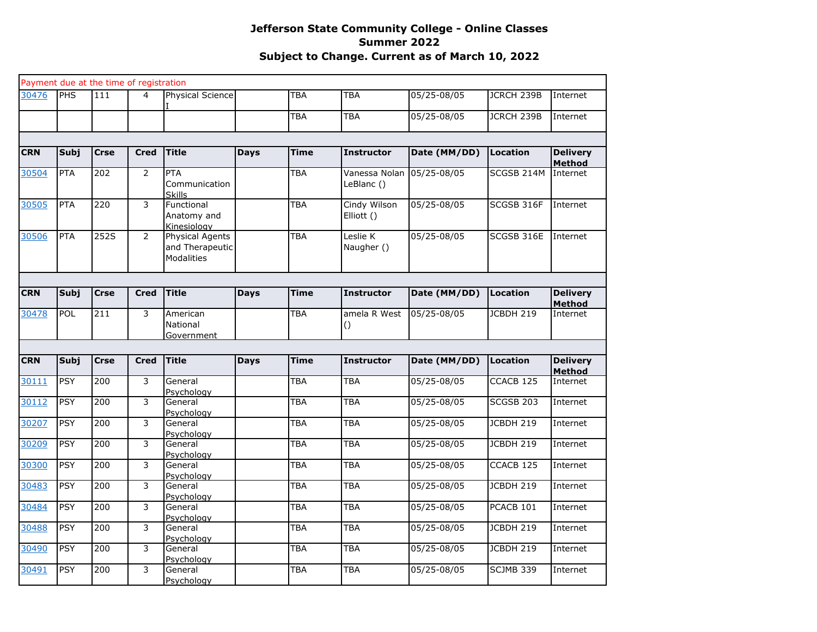|            |             | Payment due at the time of registration |                |                                                         |             |             |                             |              |                      |                                  |
|------------|-------------|-----------------------------------------|----------------|---------------------------------------------------------|-------------|-------------|-----------------------------|--------------|----------------------|----------------------------------|
| 30476      | <b>PHS</b>  | 111                                     | 4              | Physical Science                                        |             | TBA         | <b>TBA</b>                  | 05/25-08/05  | JCRCH 239B           | Internet                         |
|            |             |                                         |                |                                                         |             | <b>TBA</b>  | <b>TBA</b>                  | 05/25-08/05  | <b>JCRCH 239B</b>    | Internet                         |
|            |             |                                         |                |                                                         |             |             |                             |              |                      |                                  |
| <b>CRN</b> | <b>Subj</b> | <b>Crse</b>                             | <b>Cred</b>    | <b>Title</b>                                            | <b>Days</b> | <b>Time</b> | <b>Instructor</b>           | Date (MM/DD) | <b>Location</b>      | <b>Delivery</b><br><b>Method</b> |
| 30504      | <b>PTA</b>  | 202                                     | 2              | <b>PTA</b><br>Communication<br><b>Skills</b>            |             | <b>TBA</b>  | Vanessa Nolan<br>LeBlanc () | 05/25-08/05  | SCGSB 214M           | Internet                         |
| 30505      | PTA         | 220                                     | 3              | Functional<br>Anatomy and<br>Kinesioloav                |             | TBA         | Cindy Wilson<br>Elliott ()  | 05/25-08/05  | SCGSB 316F           | Internet                         |
| 30506      | <b>PTA</b>  | 252S                                    | $\overline{2}$ | Physical Agents<br>and Therapeutic<br><b>Modalities</b> |             | <b>TBA</b>  | Leslie K<br>Naugher ()      | 05/25-08/05  | SCGSB 316E           | Internet                         |
|            |             |                                         |                |                                                         |             |             |                             |              |                      |                                  |
| <b>CRN</b> | Subj        | <b>Crse</b>                             | <b>Cred</b>    | <b>Title</b>                                            | <b>Days</b> | Time        | <b>Instructor</b>           | Date (MM/DD) | Location             | <b>Delivery</b><br><b>Method</b> |
| 30478      | POL         | 211                                     | 3              | American<br>National<br>Government                      |             | TBA         | amela R West<br>0           | 05/25-08/05  | JCBDH 219            | Internet                         |
|            |             |                                         |                |                                                         |             |             |                             |              |                      |                                  |
| <b>CRN</b> | <b>Subj</b> | <b>Crse</b>                             | <b>Cred</b>    | <b>Title</b>                                            | <b>Days</b> | <b>Time</b> | <b>Instructor</b>           | Date (MM/DD) | Location             | <b>Delivery</b><br><b>Method</b> |
| 30111      | <b>PSY</b>  | $\overline{200}$                        | 3              | General<br>Psychology                                   |             | TBA         | <b>TBA</b>                  | 05/25-08/05  | CCACB 125            | Internet                         |
| 30112      | <b>PSY</b>  | 200                                     | 3              | General<br>Psychology                                   |             | TBA         | <b>TBA</b>                  | 05/25-08/05  | SCGSB <sub>203</sub> | Internet                         |
| 30207      | <b>PSY</b>  | 200                                     | 3              | General<br>Psychology                                   |             | TBA         | <b>TBA</b>                  | 05/25-08/05  | JCBDH 219            | Internet                         |
| 30209      | <b>PSY</b>  | 200                                     | 3              | General<br>Psychology                                   |             | TBA         | <b>TBA</b>                  | 05/25-08/05  | JCBDH 219            | Internet                         |
| 30300      | <b>PSY</b>  | 200                                     | 3              | General<br>Psychology                                   |             | <b>TBA</b>  | <b>TBA</b>                  | 05/25-08/05  | CCACB <sub>125</sub> | Internet                         |
| 30483      | <b>PSY</b>  | 200                                     | 3              | General<br>Psychology                                   |             | TBA         | <b>TBA</b>                  | 05/25-08/05  | <b>JCBDH 219</b>     | Internet                         |
| 30484      | <b>PSY</b>  | 200                                     | 3              | General<br>Psychology                                   |             | TBA         | <b>TBA</b>                  | 05/25-08/05  | PCACB <sub>101</sub> | Internet                         |
| 30488      | <b>PSY</b>  | 200                                     | 3              | General<br>Psychology                                   |             | <b>TBA</b>  | TBA                         | 05/25-08/05  | JCBDH 219            | Internet                         |
| 30490      | <b>PSY</b>  | 200                                     | 3              | General<br>Psychology                                   |             | <b>TBA</b>  | <b>TBA</b>                  | 05/25-08/05  | <b>JCBDH 219</b>     | Internet                         |
| 30491      | <b>PSY</b>  | 200                                     | 3              | General<br>Psychology                                   |             | TBA         | <b>TBA</b>                  | 05/25-08/05  | <b>SCJMB 339</b>     | Internet                         |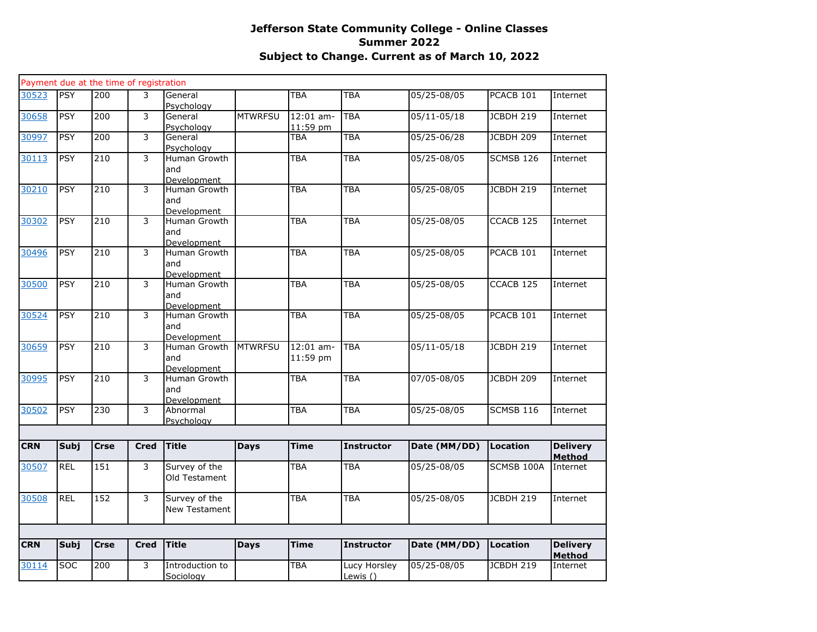|            |             | Payment due at the time of registration |             |                                           |                |                         |                          |                 |                      |                           |
|------------|-------------|-----------------------------------------|-------------|-------------------------------------------|----------------|-------------------------|--------------------------|-----------------|----------------------|---------------------------|
| 30523      | <b>PSY</b>  | 200                                     | 3           | General<br>Psychology                     |                | TBA                     | <b>TBA</b>               | 05/25-08/05     | PCACB 101            | Internet                  |
| 30658      | <b>PSY</b>  | $\overline{200}$                        | 3           | General<br>Psychology                     | <b>MTWRFSU</b> | $12:01$ am-<br>11:59 pm | <b>TBA</b>               | $05/11 - 05/18$ | <b>JCBDH 219</b>     | Internet                  |
| 30997      | <b>PSY</b>  | $\overline{200}$                        | 3           | General<br>Psychology                     |                | TBA                     | <b>TBA</b>               | 05/25-06/28     | JCBDH 209            | Internet                  |
| 30113      | <b>PSY</b>  | $\overline{210}$                        | 3           | Human Growth<br>and<br>Development        |                | <b>TBA</b>              | <b>TBA</b>               | 05/25-08/05     | SCMSB 126            | Internet                  |
| 30210      | <b>PSY</b>  | 210                                     | 3           | Human Growth<br>and<br>Development        |                | <b>TBA</b>              | <b>TBA</b>               | 05/25-08/05     | <b>JCBDH 219</b>     | Internet                  |
| 30302      | <b>PSY</b>  | $\overline{210}$                        | 3           | Human Growth<br>and<br><b>Development</b> |                | <b>TBA</b>              | <b>TBA</b>               | 05/25-08/05     | CCACB 125            | Internet                  |
| 30496      | <b>PSY</b>  | $\overline{210}$                        | 3           | Human Growth<br>and<br>Development        |                | <b>TBA</b>              | <b>TBA</b>               | 05/25-08/05     | PCACB 101            | Internet                  |
| 30500      | <b>PSY</b>  | $\overline{210}$                        | 3           | Human Growth<br>and<br>Development        |                | TBA                     | <b>TBA</b>               | 05/25-08/05     | CCACB <sub>125</sub> | Internet                  |
| 30524      | <b>PSY</b>  | 210                                     | 3           | Human Growth<br>and<br>Development        |                | TBA                     | <b>TBA</b>               | 05/25-08/05     | PCACB 101            | Internet                  |
| 30659      | <b>PSY</b>  | $\overline{210}$                        | 3           | Human Growth<br>and<br><b>Development</b> | <b>MTWRFSU</b> | $12:01$ am-<br>11:59 pm | <b>TBA</b>               | 05/11-05/18     | JCBDH 219            | Internet                  |
| 30995      | <b>PSY</b>  | 210                                     | 3           | Human Growth<br>and<br>Development        |                | <b>TBA</b>              | <b>TBA</b>               | 07/05-08/05     | <b>JCBDH 209</b>     | Internet                  |
| 30502      | <b>PSY</b>  | 230                                     | 3           | Abnormal<br>Psychology                    |                | <b>TBA</b>              | <b>TBA</b>               | 05/25-08/05     | SCMSB 116            | Internet                  |
|            |             |                                         |             |                                           |                |                         |                          |                 |                      |                           |
| <b>CRN</b> | Subj        | <b>Crse</b>                             | <b>Cred</b> | <b>Title</b>                              | <b>Days</b>    | <b>Time</b>             | <b>Instructor</b>        | Date (MM/DD)    | Location             | <b>Delivery</b><br>Method |
| 30507      | <b>REL</b>  | 151                                     | 3           | Survey of the<br>Old Testament            |                | <b>TBA</b>              | TBA                      | 05/25-08/05     | SCMSB 100A           | Internet                  |
| 30508      | <b>REL</b>  | 152                                     | 3           | Survey of the<br><b>New Testament</b>     |                | <b>TBA</b>              | TBA                      | 05/25-08/05     | JCBDH 219            | Internet                  |
|            |             |                                         |             |                                           |                |                         |                          |                 |                      |                           |
| <b>CRN</b> | <b>Subj</b> | <b>Crse</b>                             | <b>Cred</b> | <b>Title</b>                              | <b>Days</b>    | <b>Time</b>             | <b>Instructor</b>        | Date (MM/DD)    | Location             | <b>Delivery</b><br>Method |
| 30114      | <b>SOC</b>  | $\overline{200}$                        | 3           | Introduction to<br>Sociology              |                | TBA                     | Lucy Horsley<br>Lewis () | $05/25 - 08/05$ | JCBDH 219            | Internet                  |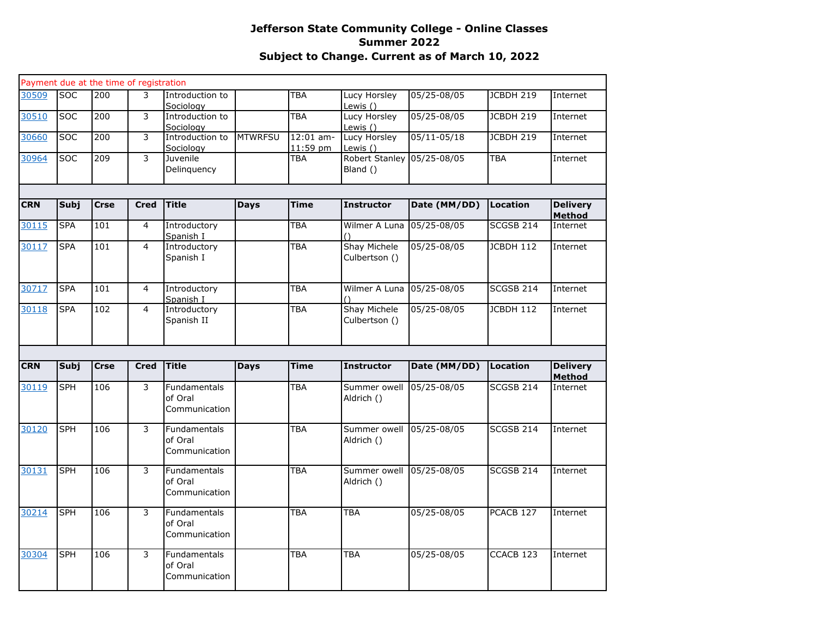|            |             |             | Payment due at the time of registration |                                                 |                |                         |                                      |                 |                      |                           |
|------------|-------------|-------------|-----------------------------------------|-------------------------------------------------|----------------|-------------------------|--------------------------------------|-----------------|----------------------|---------------------------|
| 30509      | <b>SOC</b>  | 200         | 3                                       | Introduction to<br>Sociology                    |                | TBA                     | Lucy Horsley<br>Lewis ()             | 05/25-08/05     | JCBDH 219            | Internet                  |
| 30510      | <b>SOC</b>  | 200         | 3                                       | Introduction to<br>Sociology                    |                | <b>TBA</b>              | Lucy Horsley<br>Lewis ()             | 05/25-08/05     | JCBDH 219            | Internet                  |
| 30660      | <b>SOC</b>  | 200         | 3                                       | Introduction to<br>Sociology                    | <b>MTWRFSU</b> | $12:01$ am-<br>11:59 pm | Lucy Horsley<br>Lewis $()$           | $05/11 - 05/18$ | <b>JCBDH 219</b>     | Internet                  |
| 30964      | <b>SOC</b>  | 209         | 3                                       | Juvenile<br>Delinquency                         |                | TBA                     | <b>Robert Stanley</b><br>Bland ()    | 05/25-08/05     | <b>TBA</b>           | Internet                  |
|            |             |             |                                         |                                                 |                |                         |                                      |                 |                      |                           |
| <b>CRN</b> | <b>Subj</b> | <b>Crse</b> | <b>Cred</b>                             | <b>Title</b>                                    | <b>Days</b>    | <b>Time</b>             | <b>Instructor</b>                    | Date (MM/DD)    | <b>Location</b>      | <b>Delivery</b><br>Method |
| 30115      | <b>SPA</b>  | 101         | $\overline{4}$                          | Introductory<br>Spanish I                       |                | TBA                     | Wilmer A Luna 05/25-08/05            |                 | SCGSB 214            | Internet                  |
| 30117      | <b>SPA</b>  | 101         | $\overline{4}$                          | Introductory<br>Spanish I                       |                | TBA                     | Shay Michele<br>Culbertson ()        | 05/25-08/05     | JCBDH 112            | Internet                  |
| 30717      | <b>SPA</b>  | 101         | 4                                       | Introductory<br>Spanish I                       |                | TBA                     | Wilmer A Luna 05/25-08/05            |                 | <b>SCGSB 214</b>     | Internet                  |
| 30118      | <b>SPA</b>  | 102         | $\overline{4}$                          | Introductory<br>Spanish II                      |                | TBA                     | <b>Shay Michele</b><br>Culbertson () | 05/25-08/05     | JCBDH 112            | Internet                  |
| <b>CRN</b> | Subj        | <b>Crse</b> | <b>Cred</b>                             | <b>Title</b>                                    | <b>Days</b>    | <b>Time</b>             | <b>Instructor</b>                    | Date (MM/DD)    | <b>Location</b>      | <b>Delivery</b>           |
|            |             |             |                                         |                                                 |                |                         |                                      |                 |                      | <b>Method</b>             |
| 30119      | <b>SPH</b>  | 106         | 3                                       | <b>Fundamentals</b><br>of Oral<br>Communication |                | TBA                     | Summer owell<br>Aldrich ()           | 05/25-08/05     | SCGSB 214            | Internet                  |
| 30120      | <b>SPH</b>  | 106         | 3                                       | <b>Fundamentals</b><br>of Oral<br>Communication |                | <b>TBA</b>              | Summer owell<br>Aldrich ()           | 05/25-08/05     | SCGSB 214            | Internet                  |
| 30131      | <b>SPH</b>  | 106         | 3                                       | <b>Fundamentals</b><br>of Oral<br>Communication |                | <b>TBA</b>              | Summer owell<br>Aldrich ()           | 05/25-08/05     | <b>SCGSB 214</b>     | Internet                  |
| 30214      | <b>SPH</b>  | 106         | 3                                       | Fundamentals<br>of Oral<br>Communication        |                | TBA                     | <b>TBA</b>                           | 05/25-08/05     | PCACB 127            | Internet                  |
| 30304      | <b>SPH</b>  | 106         | 3                                       | <b>Fundamentals</b><br>of Oral<br>Communication |                | <b>TBA</b>              | <b>TBA</b>                           | 05/25-08/05     | CCACB <sub>123</sub> | Internet                  |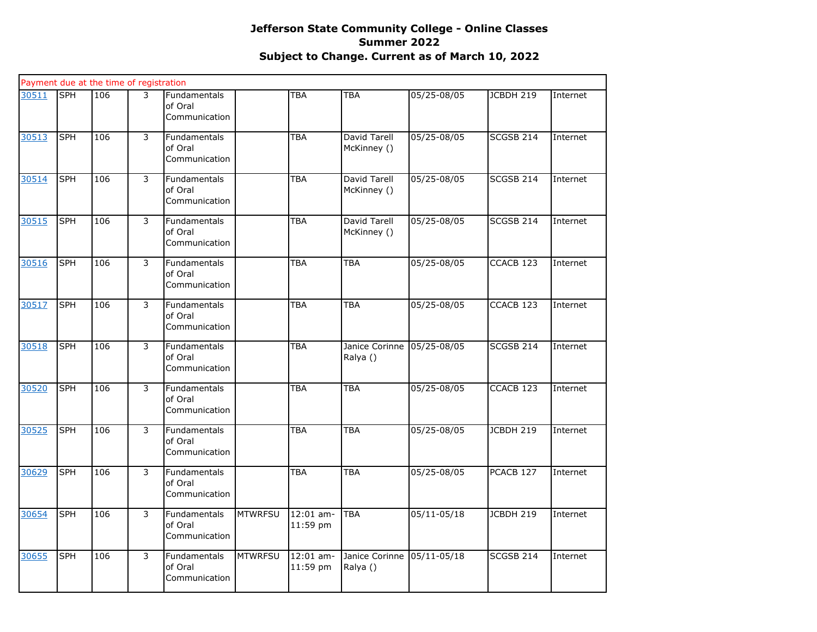|       |            | Payment due at the time of registration |   |                                                 |                |                         |                             |                 |                      |          |
|-------|------------|-----------------------------------------|---|-------------------------------------------------|----------------|-------------------------|-----------------------------|-----------------|----------------------|----------|
| 30511 | <b>SPH</b> | 106                                     | 3 | Fundamentals<br>of Oral<br>Communication        |                | <b>TBA</b>              | <b>TBA</b>                  | 05/25-08/05     | JCBDH 219            | Internet |
| 30513 | <b>SPH</b> | 106                                     | 3 | Fundamentals<br>of Oral<br>Communication        |                | <b>TBA</b>              | David Tarell<br>McKinney () | 05/25-08/05     | <b>SCGSB 214</b>     | Internet |
| 30514 | <b>SPH</b> | 106                                     | 3 | <b>Fundamentals</b><br>of Oral<br>Communication |                | <b>TBA</b>              | David Tarell<br>McKinney () | 05/25-08/05     | <b>SCGSB 214</b>     | Internet |
| 30515 | <b>SPH</b> | 106                                     | 3 | Fundamentals<br>of Oral<br>Communication        |                | <b>TBA</b>              | David Tarell<br>McKinney () | 05/25-08/05     | SCGSB 214            | Internet |
| 30516 | <b>SPH</b> | 106                                     | 3 | Fundamentals<br>of Oral<br>Communication        |                | <b>TBA</b>              | <b>TBA</b>                  | 05/25-08/05     | CCACB 123            | Internet |
| 30517 | <b>SPH</b> | 106                                     | 3 | Fundamentals<br>of Oral<br>Communication        |                | <b>TBA</b>              | <b>TBA</b>                  | 05/25-08/05     | CCACB 123            | Internet |
| 30518 | <b>SPH</b> | 106                                     | 3 | Fundamentals<br>of Oral<br>Communication        |                | <b>TBA</b>              | Janice Corinne<br>Ralya ()  | 05/25-08/05     | SCGSB 214            | Internet |
| 30520 | <b>SPH</b> | 106                                     | 3 | Fundamentals<br>of Oral<br>Communication        |                | <b>TBA</b>              | <b>TBA</b>                  | 05/25-08/05     | CCACB <sub>123</sub> | Internet |
| 30525 | <b>SPH</b> | 106                                     | 3 | <b>Fundamentals</b><br>of Oral<br>Communication |                | <b>TBA</b>              | <b>TBA</b>                  | 05/25-08/05     | <b>JCBDH 219</b>     | Internet |
| 30629 | <b>SPH</b> | 106                                     | 3 | Fundamentals<br>of Oral<br>Communication        |                | <b>TBA</b>              | <b>TBA</b>                  | 05/25-08/05     | PCACB 127            | Internet |
| 30654 | <b>SPH</b> | 106                                     | 3 | Fundamentals<br>of Oral<br>Communication        | <b>MTWRFSU</b> | $12:01$ am-<br>11:59 pm | <b>TBA</b>                  | $05/11 - 05/18$ | JCBDH 219            | Internet |
| 30655 | <b>SPH</b> | 106                                     | 3 | <b>Fundamentals</b><br>of Oral<br>Communication | <b>MTWRFSU</b> | 12:01 am-<br>11:59 pm   | Janice Corinne<br>Ralya ()  | $05/11 - 05/18$ | SCGSB 214            | Internet |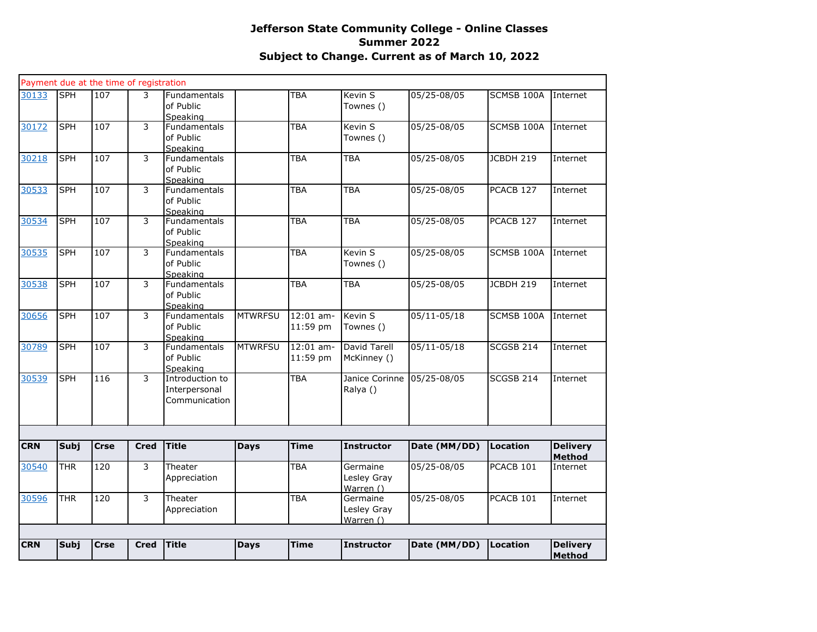|            |             | Payment due at the time of registration |             |                                                   |                |                         |                                      |                 |                  |                                  |
|------------|-------------|-----------------------------------------|-------------|---------------------------------------------------|----------------|-------------------------|--------------------------------------|-----------------|------------------|----------------------------------|
| 30133      | <b>SPH</b>  | 107                                     | 3           | <b>Fundamentals</b><br>of Public<br>Speaking      |                | TBA                     | Kevin S<br>Townes ()                 | 05/25-08/05     | SCMSB 100A       | Internet                         |
| 30172      | <b>SPH</b>  | 107                                     | 3           | <b>Fundamentals</b><br>of Public<br>Speaking      |                | TBA                     | Kevin S<br>Townes ()                 | 05/25-08/05     | SCMSB 100A       | Internet                         |
| 30218      | <b>SPH</b>  | 107                                     | 3           | Fundamentals<br>of Public<br>Speaking             |                | TBA                     | <b>TBA</b>                           | 05/25-08/05     | JCBDH 219        | Internet                         |
| 30533      | <b>SPH</b>  | 107                                     | 3           | Fundamentals<br>of Public<br>Speaking             |                | TBA                     | <b>TBA</b>                           | 05/25-08/05     | PCACB 127        | Internet                         |
| 30534      | <b>SPH</b>  | 107                                     | 3           | <b>Fundamentals</b><br>of Public<br>Speaking      |                | TBA                     | <b>TBA</b>                           | 05/25-08/05     | PCACB 127        | Internet                         |
| 30535      | <b>SPH</b>  | 107                                     | 3           | Fundamentals<br>of Public<br>Speaking             |                | TBA                     | Kevin <sub>S</sub><br>Townes ()      | 05/25-08/05     | SCMSB 100A       | Internet                         |
| 30538      | <b>SPH</b>  | 107                                     | 3           | Fundamentals<br>of Public<br>Speaking             |                | TBA                     | <b>TBA</b>                           | 05/25-08/05     | JCBDH 219        | Internet                         |
| 30656      | <b>SPH</b>  | 107                                     | 3           | Fundamentals<br>of Public<br>Speaking             | <b>MTWRFSU</b> | 12:01 am-<br>11:59 pm   | Kevin <sub>S</sub><br>Townes ()      | $05/11 - 05/18$ | SCMSB 100A       | Internet                         |
| 30789      | <b>SPH</b>  | 107                                     | 3           | <b>Fundamentals</b><br>of Public<br>Speaking      | <b>MTWRFSU</b> | $12:01$ am-<br>11:59 pm | David Tarell<br>McKinney ()          | $05/11 - 05/18$ | <b>SCGSB 214</b> | Internet                         |
| 30539      | <b>SPH</b>  | 116                                     | 3           | Introduction to<br>Interpersonal<br>Communication |                | TBA                     | Janice Corinne<br>Ralya ()           | 05/25-08/05     | SCGSB 214        | Internet                         |
|            |             |                                         |             |                                                   |                |                         |                                      |                 |                  |                                  |
| <b>CRN</b> | <b>Subj</b> | <b>Crse</b>                             | <b>Cred</b> | <b>Title</b>                                      | <b>Days</b>    | <b>Time</b>             | <b>Instructor</b>                    | Date (MM/DD)    | Location         | <b>Delivery</b><br><b>Method</b> |
| 30540      | <b>THR</b>  | 120                                     | 3           | Theater<br>Appreciation                           |                | TBA                     | Germaine<br>Lesley Gray<br>Warren () | 05/25-08/05     | PCACB 101        | Internet                         |
| 30596      | <b>THR</b>  | 120                                     | 3           | Theater<br>Appreciation                           |                | TBA                     | Germaine<br>Lesley Gray<br>Warren () | 05/25-08/05     | PCACB 101        | Internet                         |
|            |             |                                         |             |                                                   |                |                         |                                      |                 |                  |                                  |
| <b>CRN</b> | <b>Subj</b> | <b>Crse</b>                             | <b>Cred</b> | Title                                             | <b>Days</b>    | <b>Time</b>             | <b>Instructor</b>                    | Date (MM/DD)    | Location         | <b>Delivery</b><br><b>Method</b> |